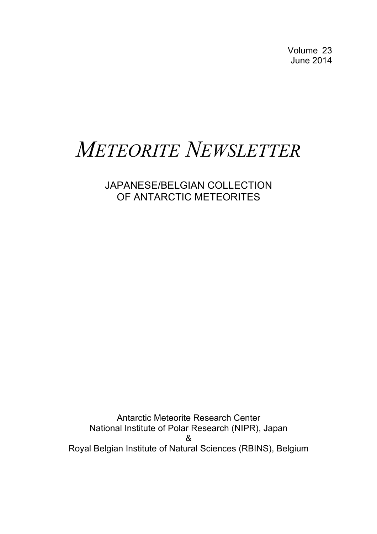Volume 23 June 2014

# *METEORITE NEWSLETTER*

## JAPANESE/BELGIAN COLLECTION OF ANTARCTIC METEORITES

Antarctic Meteorite Research Center National Institute of Polar Research (NIPR), Japan & Royal Belgian Institute of Natural Sciences (RBINS), Belgium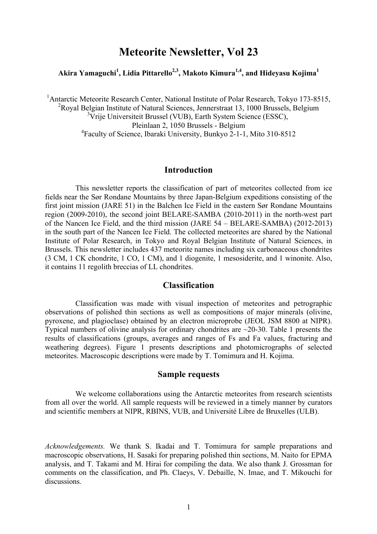### **Meteorite Newsletter, Vol 23**

#### **Akira Yamaguchi1 , Lidia Pittarello2,3, Makoto Kimura1,4, and Hideyasu Kojima1**

<sup>1</sup> Antarctic Meteorite Research Center, National Institute of Polar Research, Tokyo 173-8515,  $\frac{2\text{p}}{2}$ <sup>2</sup> Royal Belgian Institute of Natural Sciences, Jennerstraat 13, 1000 Brussels, Belgium <sup>3</sup>Vrije Universiteit Brussel (VUB), Earth System Science (ESSC), Pleinlaan 2, 1050 Brussels - Belgium 4 Faculty of Science, Ibaraki University, Bunkyo 2-1-1, Mito 310-8512

#### **Introduction**

This newsletter reports the classification of part of meteorites collected from ice fields near the Sør Rondane Mountains by three Japan-Belgium expeditions consisting of the first joint mission (JARE 51) in the Balchen Ice Field in the eastern Sør Rondane Mountains region (2009-2010), the second joint BELARE-SAMBA (2010-2011) in the north-west part of the Nancen Ice Field, and the third mission (JARE 54 – BELARE-SAMBA) (2012-2013) in the south part of the Nancen Ice Field. The collected meteorites are shared by the National Institute of Polar Research, in Tokyo and Royal Belgian Institute of Natural Sciences, in Brussels. This newsletter includes 437 meteorite names including six carbonaceous chondrites (3 CM, 1 CK chondrite, 1 CO, 1 CM), and 1 diogenite, 1 mesosiderite, and 1 winonite. Also, it contains 11 regolith breccias of LL chondrites.

#### **Classification**

Classification was made with visual inspection of meteorites and petrographic observations of polished thin sections as well as compositions of major minerals (olivine, pyroxene, and plagioclase) obtained by an electron microprobe (JEOL JSM 8800 at NIPR). Typical numbers of olivine analysis for ordinary chondrites are ~20-30. Table 1 presents the results of classifications (groups, averages and ranges of Fs and Fa values, fracturing and weathering degrees). Figure 1 presents descriptions and photomicrographs of selected meteorites. Macroscopic descriptions were made by T. Tomimura and H. Kojima.

#### **Sample requests**

We welcome collaborations using the Antarctic meteorites from research scientists from all over the world. All sample requests will be reviewed in a timely manner by curators and scientific members at NIPR, RBINS, VUB, and Université Libre de Bruxelles (ULB).

*Acknowledgements.* We thank S. Ikadai and T. Tomimura for sample preparations and macroscopic observations, H. Sasaki for preparing polished thin sections, M. Naito for EPMA analysis, and T. Takami and M. Hirai for compiling the data. We also thank J. Grossman for comments on the classification, and Ph. Claeys, V. Debaille, N. Imae, and T. Mikouchi for discussions.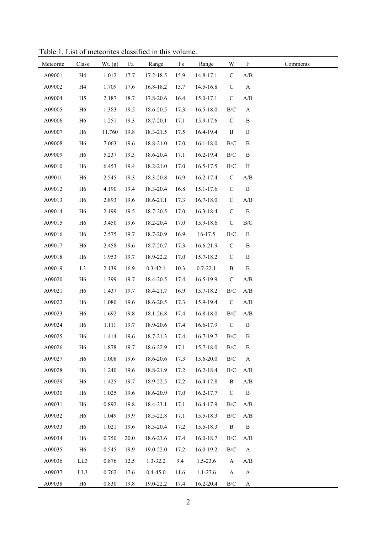| Meteorite | Class          | Wt. $(g)$ | Fa   | Range        | $\mathop{\text{Fs}}$ | Range         | W                         | $\mathbf F$               | Comments |
|-----------|----------------|-----------|------|--------------|----------------------|---------------|---------------------------|---------------------------|----------|
| A09001    | H <sub>4</sub> | 1.012     | 17.7 | 17.2-18.5    | 15.9                 | 14.8-17.1     | $\mathbf C$               | A/B                       |          |
| A09002    | H4             | 1.709     | 17.6 | 16.8-18.2    | 15.7                 | 14.5-16.8     | $\mathsf C$               | $\boldsymbol{\mathsf{A}}$ |          |
| A09004    | H <sub>5</sub> | 2.187     | 18.7 | 17.8-20.6    | 16.4                 | 15.0-17.1     | $\mathbf C$               | A/B                       |          |
| A09005    | H <sub>6</sub> | 1.383     | 19.5 | 18.6-20.5    | 17.3                 | $16.5 - 18.0$ | $\rm{B/C}$                | $\boldsymbol{\mathsf{A}}$ |          |
| A09006    | H <sub>6</sub> | 1.251     | 19.3 | 18.7-20.1    | 17.1                 | 15.9-17.6     | $\mathcal{C}$             | $\, {\bf B}$              |          |
| A09007    | H <sub>6</sub> | 11.760    | 19.8 | 18.3-21.5    | 17.5                 | 16.4-19.4     | $\, {\bf B}$              | $\, {\bf B}$              |          |
| A09008    | H <sub>6</sub> | 7.063     | 19.6 | 18.8-21.0    | 17.0                 | $16.1 - 18.0$ | $\rm{B/C}$                | $\, {\bf B}$              |          |
| A09009    | H <sub>6</sub> | 5.237     | 19.3 | 18.6-20.4    | 17.1                 | 16.2-19.4     | $\rm{B/C}$                | $\, {\bf B}$              |          |
| A09010    | H <sub>6</sub> | 6.453     | 19.4 | 18.2-21.0    | 17.0                 | 16.5-17.5     | $\rm{B/C}$                | $\, {\bf B}$              |          |
| A09011    | H <sub>6</sub> | 2.545     | 19.3 | 18.3-20.8    | 16.9                 | 16.2-17.4     | $\mathbf C$               | A/B                       |          |
| A09012    | H <sub>6</sub> | 4.190     | 19.4 | 18.3-20.4    | 16.8                 | 15.1-17.6     | $\mathbf C$               | $\, {\bf B}$              |          |
| A09013    | H <sub>6</sub> | 2.893     | 19.6 | 18.6-21.1    | 17.3                 | $16.7 - 18.0$ | $\mathbf C$               | A/B                       |          |
| A09014    | H <sub>6</sub> | 2.199     | 19.5 | 18.7-20.5    | 17.0                 | 16.3-18.4     | ${\bf C}$                 | $\, {\bf B}$              |          |
| A09015    | H <sub>6</sub> | 3.450     | 19.6 | 18.2-20.4    | 17.0                 | 15.9-18.6     | $\mathbf C$               | $\rm B/C$                 |          |
| A09016    | H <sub>6</sub> | 2.575     | 19.7 | 18.7-20.9    | 16.9                 | 16-17.5       | $\rm{B/C}$                | $\, {\bf B}$              |          |
| A09017    | H <sub>6</sub> | 2.458     | 19.6 | 18.7-20.7    | 17.3                 | 16.6-21.9     | $\mathbf C$               | $\, {\bf B}$              |          |
| A09018    | H <sub>6</sub> | 1.953     | 19.7 | 18.9-22.2    | 17.0                 | 15.7-18.2     | ${\bf C}$                 | $\, {\bf B}$              |          |
| A09019    | L3             | 2.139     | 16.9 | $0.3 - 42.1$ | 10.3                 | $0.7 - 22.1$  | $\, {\bf B}$              | $\, {\bf B}$              |          |
| A09020    | H <sub>6</sub> | 1.399     | 19.7 | 18.4-20.5    | 17.4                 | 16.5-19.9     | $\mathbf C$               | A/B                       |          |
| A09021    | H <sub>6</sub> | 1.437     | 19.7 | 18.4-21.7    | 16.9                 | 15.7-18.2     | $\rm{B/C}$                | A/B                       |          |
| A09022    | H <sub>6</sub> | 1.080     | 19.6 | 18.6-20.5    | 17.3                 | 15.9-19.4     | $\mathcal{C}$             | A/B                       |          |
| A09023    | H <sub>6</sub> | 1.692     | 19.8 | 18.1-26.8    | 17.4                 | 16.8-18.0     | $\rm{B/C}$                | A/B                       |          |
| A09024    | H <sub>6</sub> | 1.111     | 19.7 | 18.9-20.6    | 17.4                 | 16.6-17.9     | $\mathcal{C}$             | $\, {\bf B}$              |          |
| A09025    | H <sub>6</sub> | 1.414     | 19.6 | 18.7-21.3    | 17.4                 | 16.7-19.7     | $\rm{B/C}$                | $\, {\bf B}$              |          |
| A09026    | H <sub>6</sub> | 1.878     | 19.7 | 18.6-22.9    | 17.1                 | 15.7-18.0     | $\rm{B/C}$                | $\, {\bf B}$              |          |
| A09027    | H <sub>6</sub> | 1.008     | 19.6 | 18.6-20.6    | 17.3                 | 15.6-20.0     | $\rm{B/C}$                | $\boldsymbol{\mathsf{A}}$ |          |
| A09028    | H <sub>6</sub> | 1.240     | 19.6 | 18.8-21.9    | 17.2                 | 16.2-18.4     | B/C                       | A/B                       |          |
| A09029    | H <sub>6</sub> | 1.425     | 19.7 | 18.9-22.5    | 17.2                 | 16.4-17.8     | B                         | A/B                       |          |
| A09030    | H <sub>6</sub> | 1.025     | 19.6 | 18.6-20.9    | 17.0                 | 16.2-17.7     | $\mathcal{C}$             | $\, {\bf B}$              |          |
| A09031    | H <sub>6</sub> | 0.892     | 19.8 | 18.4-23.1    | 17.1                 | 16.4-17.9     | $\rm{B/C}$                | A/B                       |          |
| A09032    | H <sub>6</sub> | 1.049     | 19.9 | 18.5-22.8    | 17.1                 | 15.5-18.3     | B/C                       | A/B                       |          |
| A09033    | H <sub>6</sub> | 1.021     | 19.6 | 18.3-20.4    | 17.2                 | 15.5-18.3     | $\, {\bf B}$              | $\, {\bf B}$              |          |
| A09034    | H <sub>6</sub> | 0.750     | 20.0 | 18.6-23.6    | 17.4                 | 16.0-18.7     | B/C                       | A/B                       |          |
| A09035    | H <sub>6</sub> | 0.545     | 19.9 | 19.0-22.0    | 17.2                 | 16.0-19.2     | $\rm{B/C}$                | $\boldsymbol{\mathsf{A}}$ |          |
| A09036    | LL3            | 0.876     | 12.5 | $1.3 - 32.2$ | 9.4                  | $1.5 - 23.6$  | $\mathbf{A}$              | $\mathbf{A}/\mathbf{B}$   |          |
| A09037    | LL3            | 0.762     | 17.6 | $0.4 - 45.0$ | 11.6                 | $1.1 - 27.6$  | $\boldsymbol{\mathsf{A}}$ | $\boldsymbol{\mathsf{A}}$ |          |
| A09038    | H <sub>6</sub> | 0.830     | 19.8 | 19.0-22.2    | 17.4                 | 16.2-20.4     | B/C                       | $\mathbf{A}$              |          |

Table 1. List of meteorites classified in this volume.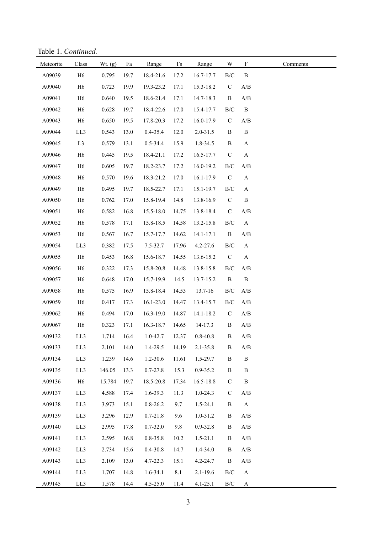Table 1. *Continued.*

| Meteorite | Class          | Wt. $(g)$ | Fa   | Range         | $\mathop{\text{Fs}}$ | Range        | W             | $\boldsymbol{\mathrm{F}}$ | Comments |
|-----------|----------------|-----------|------|---------------|----------------------|--------------|---------------|---------------------------|----------|
| A09039    | H <sub>6</sub> | 0.795     | 19.7 | 18.4-21.6     | 17.2                 | 16.7-17.7    | $\rm{B/C}$    | $\, {\bf B}$              |          |
| A09040    | H <sub>6</sub> | 0.723     | 19.9 | 19.3-23.2     | 17.1                 | 15.3-18.2    | $\mathbf C$   | $\mathbf{A}/\mathbf{B}$   |          |
| A09041    | H <sub>6</sub> | 0.640     | 19.5 | 18.6-21.4     | 17.1                 | 14.7-18.3    | B             | A/B                       |          |
| A09042    | H <sub>6</sub> | 0.628     | 19.7 | 18.4-22.6     | 17.0                 | 15.4-17.7    | $\rm{B/C}$    | $\, {\bf B}$              |          |
| A09043    | H <sub>6</sub> | 0.650     | 19.5 | 17.8-20.3     | 17.2                 | 16.0-17.9    | $\mathbf C$   | A/B                       |          |
| A09044    | LL3            | 0.543     | 13.0 | $0.4 - 35.4$  | 12.0                 | $2.0 - 31.5$ | B             | $\, {\bf B}$              |          |
| A09045    | L <sub>3</sub> | 0.579     | 13.1 | $0.5 - 34.4$  | 15.9                 | 1.8-34.5     | $\, {\bf B}$  | $\mathbf A$               |          |
| A09046    | H <sub>6</sub> | 0.445     | 19.5 | 18.4-21.1     | 17.2                 | 16.5-17.7    | $\mathbf C$   | $\mathbf{A}$              |          |
| A09047    | H <sub>6</sub> | 0.605     | 19.7 | 18.2-23.7     | 17.2                 | 16.0-19.2    | $\rm{B/C}$    | A/B                       |          |
| A09048    | H <sub>6</sub> | 0.570     | 19.6 | 18.3-21.2     | 17.0                 | 16.1-17.9    | $\mathbf C$   | $\mathbf{A}$              |          |
| A09049    | H <sub>6</sub> | 0.495     | 19.7 | 18.5-22.7     | 17.1                 | 15.1-19.7    | $\rm B/C$     | $\mathbf{A}$              |          |
| A09050    | H <sub>6</sub> | 0.762     | 17.0 | 15.8-19.4     | 14.8                 | 13.8-16.9    | $\mathbf C$   | $\, {\bf B}$              |          |
| A09051    | H <sub>6</sub> | 0.582     | 16.8 | 15.5-18.0     | 14.75                | 13.8-18.4    | $\mathbf C$   | A/B                       |          |
| A09052    | H <sub>6</sub> | 0.578     | 17.1 | 15.8-18.5     | 14.58                | 13.2-15.8    | $\rm{B/C}$    | A                         |          |
| A09053    | H <sub>6</sub> | 0.567     | 16.7 | 15.7-17.7     | 14.62                | 14.1-17.1    | B             | A/B                       |          |
| A09054    | LL3            | 0.382     | 17.5 | $7.5 - 32.7$  | 17.96                | $4.2 - 27.6$ | $\rm{B/C}$    | $\mathbf{A}$              |          |
| A09055    | H <sub>6</sub> | 0.453     | 16.8 | 15.6-18.7     | 14.55                | 13.6-15.2    | $\mathbf C$   | $\mathbf{A}$              |          |
| A09056    | H <sub>6</sub> | 0.322     | 17.3 | 15.8-20.8     | 14.48                | 13.8-15.8    | $\rm{B/C}$    | A/B                       |          |
| A09057    | H <sub>6</sub> | 0.648     | 17.0 | 15.7-19.9     | 14.5                 | 13.7-15.2    | $\, {\bf B}$  | $\, {\bf B}$              |          |
| A09058    | H <sub>6</sub> | 0.575     | 16.9 | 15.8-18.4     | 14.53                | 13.7-16      | $\rm B/C$     | $\mathbf{A}/\mathbf{B}$   |          |
| A09059    | H <sub>6</sub> | 0.417     | 17.3 | $16.1 - 23.0$ | 14.47                | 13.4-15.7    | $\rm{B/C}$    | A/B                       |          |
| A09062    | H <sub>6</sub> | 0.494     | 17.0 | 16.3-19.0     | 14.87                | 14.1-18.2    | $\mathbf C$   | A/B                       |          |
| A09067    | H <sub>6</sub> | 0.323     | 17.1 | 16.3-18.7     | 14.65                | 14-17.3      | $\, {\bf B}$  | A/B                       |          |
| A09132    | LL3            | 1.714     | 16.4 | 1.0-42.7      | 12.37                | $0.8 - 40.8$ | $\, {\bf B}$  | $\mathbf{A}/\mathbf{B}$   |          |
| A09133    | LL3            | 2.101     | 14.0 | 1.4-29.5      | 14.19                | $2.1 - 35.8$ | B             | A/B                       |          |
| A09134    | LL3            | 1.239     | 14.6 | 1.2-30.6      | 11.61                | 1.5-29.7     | B             | $\, {\bf B}$              |          |
| A09135    | LL3            | 146.05    | 13.3 | $0.7 - 27.8$  | 15.3                 | $0.9 - 35.2$ | B             | $\, {\bf B}$              |          |
| A09136    | H <sub>6</sub> | 15.784    | 19.7 | 18.5-20.8     | 17.34                | 16.5-18.8    | $\mathbf C$   | $\, {\bf B}$              |          |
| A09137    | LL3            | 4.588     | 17.4 | 1.6-39.3      | 11.3                 | $1.0 - 24.3$ | $\mathcal{C}$ | A/B                       |          |
| A09138    | LL3            | 3.973     | 15.1 | $0.8 - 26.2$  | 9.7                  | $1.5 - 24.1$ | B             | $\mathbf A$               |          |
| A09139    | LL3            | 3.296     | 12.9 | $0.7 - 21.8$  | 9.6                  | $1.0 - 31.2$ | B             | A/B                       |          |
| A09140    | LL3            | 2.995     | 17.8 | $0.7 - 32.0$  | 9.8                  | $0.9 - 32.8$ | B             | A/B                       |          |
| A09141    | LL3            | 2.595     | 16.8 | $0.8 - 35.8$  | 10.2                 | $1.5 - 21.1$ | B             | A/B                       |          |
| A09142    | LL3            | 2.734     | 15.6 | $0.4 - 30.8$  | 14.7                 | 1.4-34.0     | B             | A/B                       |          |
| A09143    | LL3            | 2.109     | 13.0 | $4.7 - 22.3$  | 15.1                 | $4.2 - 24.7$ | B             | $\mathbf{A}/\mathbf{B}$   |          |
| A09144    | LL3            | 1.707     | 14.8 | $1.6 - 34.1$  | 8.1                  | $2.1 - 19.6$ | $\rm B/C$     | $\mathbf A$               |          |
| A09145    | LL3            | 1.578     | 14.4 | $4.5 - 25.0$  | 11.4                 | $4.1 - 25.1$ | $\rm{B/C}$    | $\mathbf{A}$              |          |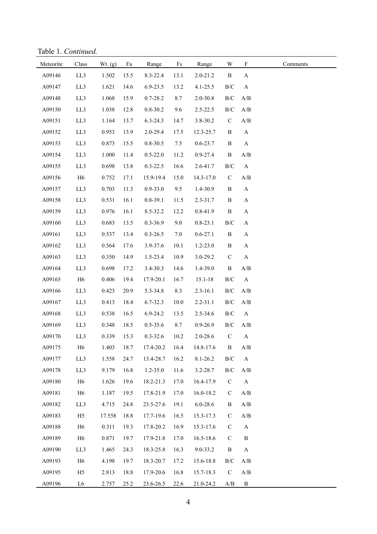Table 1. *Continued.*

| Meteorite | Class          | Wt. (g) | Fa   | Range        | $\mathop{\text{Fs}}$ | Range        | W            | $\boldsymbol{\mathrm{F}}$ | Comments |
|-----------|----------------|---------|------|--------------|----------------------|--------------|--------------|---------------------------|----------|
| A09146    | LL3            | 1.502   | 15.5 | 8.3-22.4     | 13.1                 | $2.0 - 21.2$ | $\, {\bf B}$ | A                         |          |
| A09147    | LL3            | 1.621   | 14.6 | $6.9 - 23.5$ | 13.2                 | $4.1 - 25.5$ | $\rm{B/C}$   | $\mathbf{A}$              |          |
| A09148    | LL3            | 1.068   | 15.9 | $0.7 - 28.2$ | 8.7                  | 2.0-30.8     | $\rm{B/C}$   | $\mathbf{A}/\mathbf{B}$   |          |
| A09150    | LL3            | 1.038   | 12.8 | $0.8 - 30.2$ | 9.6                  | $2.5 - 22.5$ | $\rm{B/C}$   | A/B                       |          |
| A09151    | LL3            | 1.164   | 13.7 | $6.3 - 24.3$ | 14.7                 | 3.8-30.2     | $\mathsf C$  | $\mathbf{A}/\mathbf{B}$   |          |
| A09152    | LL3            | 0.953   | 13.9 | 2.0-29.4     | 17.5                 | 12.3-25.7    | $\, {\bf B}$ | $\mathbf{A}$              |          |
| A09153    | LL3            | 0.873   | 15.5 | $0.8 - 30.5$ | $7.5$                | $0.6 - 23.7$ | $\, {\bf B}$ | $\mathbf A$               |          |
| A09154    | LL3            | 1.000   | 11.4 | $0.5 - 22.0$ | 11.2                 | $0.9 - 27.4$ | $\, {\bf B}$ | A/B                       |          |
| A09155    | LL3            | 0.698   | 13.8 | $0.3 - 22.5$ | 16.6                 | 2.6-41.7     | $\rm{B/C}$   | $\mathbf{A}$              |          |
| A09156    | H <sub>6</sub> | 0.752   | 17.1 | 15.9-19.4    | 15.0                 | 14.3-17.0    | $\mathbf C$  | $\mathbf{A}/\mathbf{B}$   |          |
| A09157    | LL3            | 0.703   | 11.3 | $0.9 - 33.0$ | 9.5                  | 1.4-30.9     | $\, {\bf B}$ | $\mathbf A$               |          |
| A09158    | LL3            | 0.531   | 16.1 | $0.8 - 39.1$ | 11.5                 | $2.3 - 31.7$ | B            | $\mathbf A$               |          |
| A09159    | LL3            | 0.976   | 16.1 | 8.5-32.2     | 12.2                 | 0.8-41.9     | $\, {\bf B}$ | $\mathbf A$               |          |
| A09160    | LL3            | 0.683   | 13.5 | 0.3-36.9     | 9.0                  | $0.8 - 23.1$ | $\rm{B/C}$   | $\mathbf A$               |          |
| A09161    | LL3            | 0.537   | 13.4 | $0.3 - 26.5$ | $7.0$                | $0.6 - 27.1$ | $\, {\bf B}$ | A                         |          |
| A09162    | LL3            | 0.564   | 17.6 | 3.9-37.6     | 10.1                 | $1.2 - 23.0$ | B            | $\mathbf A$               |          |
| A09163    | LL3            | 0.350   | 14.9 | 1.5-23.4     | 10.9                 | 3.0-29.2     | $\mathsf C$  | $\mathbf A$               |          |
| A09164    | LL3            | 0.698   | 17.2 | 3.4-30.3     | 14.6                 | 1.4-39.0     | $\, {\bf B}$ | A/B                       |          |
| A09165    | H <sub>6</sub> | 0.406   | 19.4 | 17.9-20.1    | 16.7                 | 15.1-18      | $\rm{B/C}$   | A                         |          |
| A09166    | LL3            | 0.423   | 20.9 | 5.3-34.8     | 8.3                  | $2.3 - 16.1$ | $\rm{B/C}$   | A/B                       |          |
| A09167    | LL3            | 0.413   | 18.4 | 6.7-32.3     | 10.0                 | $2.2 - 31.1$ | $\rm{B/C}$   | A/B                       |          |
| A09168    | LL3            | 0.538   | 16.5 | 6.9-24.2     | 13.5                 | 2.5-34.6     | $\rm{B/C}$   | $\mathbf{A}$              |          |
| A09169    | LL3            | 0.348   | 18.5 | $0.5 - 35.6$ | 8.7                  | $0.9 - 26.9$ | $\rm{B/C}$   | $\mathbf{A}/\mathbf{B}$   |          |
| A09170    | LL3            | 0.339   | 15.3 | $0.3 - 32.6$ | 10.2                 | $2.0 - 28.6$ | $\mathsf C$  | $\boldsymbol{\mathsf{A}}$ |          |
| A09175    | H <sub>6</sub> | 1.403   | 18.7 | 17.4-20.2    | 16.4                 | 14.8-17.6    | B            | A/B                       |          |
| A09177    | LL3            | 1.558   | 24.7 | 13.4-28.7    | 16.2                 | $8.1 - 26.2$ | $\rm{B/C}$   | $\mathbf{A}$              |          |
| A09178    | LL3            | 9.179   | 16.8 | $1.2 - 35.0$ | 11.6                 | 3.2-28.7     | $\rm{B/C}$   | A/B                       |          |
| A09180    | H <sub>6</sub> | 1.626   | 19.6 | 18.2-21.3    | 17.0                 | 16.4-17.9    | $\mathbf C$  | $\mathbf{A}$              |          |
| A09181    | H <sub>6</sub> | 1.187   | 19.5 | 17.8-21.9    | 17.0                 | 16.0-18.2    | $\mathbf C$  | A/B                       |          |
| A09182    | LL3            | 4.715   | 24.8 | 23.5-27.6    | 19.1                 | $6.0 - 28.6$ | B            | A/B                       |          |
| A09183    | H <sub>5</sub> | 17.558  | 18.8 | 17.7-19.6    | 16.5                 | 15.3-17.3    | $\mathsf{C}$ | A/B                       |          |
| A09188    | H <sub>6</sub> | 0.311   | 19.3 | 17.8-20.2    | 16.9                 | 15.3-17.6    | $\mathbf C$  | $\boldsymbol{\mathsf{A}}$ |          |
| A09189    | H <sub>6</sub> | 0.871   | 19.7 | 17.9-21.8    | 17.0                 | 16.5-18.6    | $\mathbf C$  | $\, {\bf B}$              |          |
| A09190    | LL3            | 1.465   | 24.3 | 18.3-25.8    | 16.3                 | 9.0-33.2     | $\, {\bf B}$ | $\boldsymbol{\rm{A}}$     |          |
| A09193    | H <sub>6</sub> | 4.198   | 19.7 | 18.3-20.7    | 17.2                 | 15.6-18.8    | $\rm{B/C}$   | A/B                       |          |
| A09195    | H <sub>5</sub> | 2.813   | 18.8 | 17.9-20.6    | 16.8                 | 15.7-18.3    | $\mathbf C$  | $\mathbf{A}/\mathbf{B}$   |          |
| A09196    | L6             | 2.757   | 25.2 | 23.6-26.5    | 22.6                 | 21.0-24.2    | A/B          | $\, {\bf B}$              |          |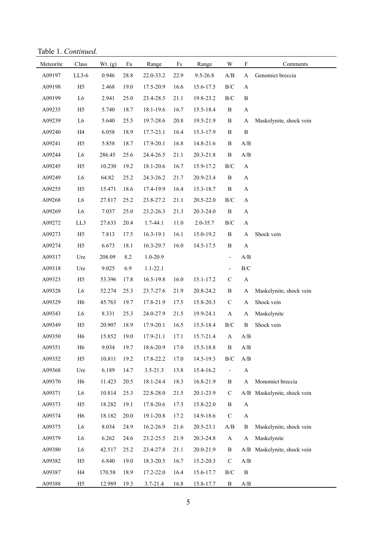Table 1. *Continued.*

| Meteorite | Class          | Wt. $(g)$ | Fa       | Range        | $\rm{Fs}$ | Range     | $\ensuremath{\text{W}}$  | $\mathbf F$               | Comments                |
|-----------|----------------|-----------|----------|--------------|-----------|-----------|--------------------------|---------------------------|-------------------------|
| A09197    | $LL3-6$        | 0.946     | 28.8     | 22.0-33.2    | 22.9      | 9.5-26.8  | A/B                      | A                         | Genomict breccia        |
| A09198    | H <sub>5</sub> | 2.468     | 19.0     | 17.5-20.9    | 16.6      | 15.6-17.5 | $\rm{B/C}$               | A                         |                         |
| A09199    | L <sub>6</sub> | 2.941     | 25.0     | 23.4-28.5    | 21.1      | 19.8-23.2 | $\rm B/C$                | $\, {\bf B}$              |                         |
| A09235    | H <sub>5</sub> | 5.740     | 18.7     | 18.1-19.6    | 16.7      | 15.5-18.4 | $\, {\bf B}$             | $\boldsymbol{\mathsf{A}}$ |                         |
| A09239    | L <sub>6</sub> | 5.640     | 25.5     | 19.7-28.6    | 20.8      | 19.5-21.9 | $\, {\bf B}$             | A                         | Maskelynite, shock vein |
| A09240    | H4             | 6.058     | 18.9     | 17.7-23.1    | 16.4      | 15.3-17.9 | $\, {\bf B}$             | $\, {\bf B}$              |                         |
| A09241    | H <sub>5</sub> | 5.858     | 18.7     | 17.9-20.1    | 16.8      | 14.8-21.6 | $\, {\bf B}$             | A/B                       |                         |
| A09244    | L <sub>6</sub> | 286.45    | 25.6     | 24.4-26.5    | 21.1      | 20.3-21.8 | $\, {\bf B}$             | A/B                       |                         |
| A09245    | H <sub>5</sub> | 10.230    | 19.2     | 18.1-20.6    | 16.7      | 15.9-17.2 | $\rm B/C$                | $\mathbf{A}$              |                         |
| A09249    | L <sub>6</sub> | 64.82     | 25.2     | 24.3-26.2    | 21.7      | 20.9-23.4 | $\, {\bf B}$             | $\mathbf{A}$              |                         |
| A09255    | H <sub>5</sub> | 15.471    | 18.6     | 17.4-19.9    | 16.4      | 15.3-18.7 | $\, {\bf B}$             | $\mathbf A$               |                         |
| A09268    | L <sub>6</sub> | 27.817    | 25.2     | 23.8-27.2    | 21.1      | 20.5-22.0 | $\rm B/C$                | $\mathbf A$               |                         |
| A09269    | L <sub>6</sub> | 7.037     | 25.0     | 23.2-26.3    | 21.3      | 20.3-24.0 | $\, {\bf B}$             | $\mathbf A$               |                         |
| A09272    | LL3            | 27.633    | 20.4     | 1.7-44.1     | 11.0      | 2.0-35.7  | $\rm B/C$                | $\mathbf A$               |                         |
| A09273    | H <sub>5</sub> | 7.813     | 17.5     | 16.3-19.1    | 16.1      | 15.0-19.2 | $\, {\bf B}$             | $\mathbf A$               | Shock vein              |
| A09274    | H <sub>5</sub> | 6.673     | 18.1     | 16.3-29.7    | 16.0      | 14.5-17.5 | $\, {\bf B}$             | $\boldsymbol{\rm{A}}$     |                         |
| A09317    | Ure            | 208.09    | 8.2      | 1.0-20.9     |           |           | $\overline{\phantom{0}}$ | $\mathbf{A}/\mathbf{B}$   |                         |
| A09318    | Ure            | 9.025     | 6.9      | $1.1 - 22.1$ |           |           | $\overline{\phantom{0}}$ | $\rm B/C$                 |                         |
| A09323    | H <sub>5</sub> | 53.396    | 17.8     | 16.5-19.8    | 16.0      | 15.1-17.2 | $\mathsf C$              | $\boldsymbol{\mathsf{A}}$ |                         |
| A09328    | L <sub>6</sub> | 52.274    | 25.3     | 23.7-27.6    | 21.9      | 20.8-24.2 | $\, {\bf B}$             | A                         | Maskelynite, shock vein |
| A09329    | H <sub>6</sub> | 45.763    | 19.7     | 17.8-21.9    | 17.5      | 15.8-20.3 | $\mathsf C$              | A                         | Shock vein              |
| A09343    | L <sub>6</sub> | 8.331     | 25.3     | 24.0-27.9    | 21.5      | 19.9-24.1 | $\mathbf{A}$             | A                         | Maskelynite             |
| A09349    | H <sub>5</sub> | 20.907    | 18.9     | 17.9-20.1    | 16.5      | 15.5-18.4 | $\rm{B/C}$               | $\, {\bf B}$              | Shock vein              |
| A09350    | H <sub>6</sub> | 15.852    | 19.0     | 17.9-21.1    | 17.1      | 15.7-21.4 | $\mathbf A$              | A/B                       |                         |
| A09351    | H <sub>6</sub> | 9.034     | 19.7     | 18.6-20.9    | 17.0      | 15.5-18.8 | $\, {\bf B}$             | A/B                       |                         |
| A09352    | H <sub>5</sub> | 10.811    | 19.2     | 17.8-22.2    | 17.0      | 14.5-19.3 | $\rm{B/C}$               | A/B                       |                         |
| A09368    | Ure            | 6.189     | 14.7     | $3.5 - 21.3$ | 15.8      | 15.4-16.2 | -                        | $\mathbf A$               |                         |
| A09370    | H <sub>6</sub> | 11.423    | 20.5     | 18.1-24.4    | 18.3      | 16.8-21.9 | $\, {\bf B}$             | $\mathbf A$               | Monomict breccia        |
| A09371    | L <sub>6</sub> | 10.814    | 25.3     | 22.8-28.0    | 21.5      | 20.1-23.9 | $\mathbf C$              | A/B                       | Maskelynite, shock vein |
| A09373    | H <sub>5</sub> | 18.282    | 19.1     | 17.8-20.6    | 17.3      | 15.8-22.0 | $\, {\bf B}$             | $\boldsymbol{\mathsf{A}}$ |                         |
| A09374    | H <sub>6</sub> | 18.182    | $20.0\,$ | 19.1-20.8    | 17.2      | 14.9-18.6 | $\mathbf C$              | $\mathbf{A}$              |                         |
| A09375    | L <sub>6</sub> | 8.034     | 24.9     | 16.2-26.9    | 21.6      | 20.5-23.1 | A/B                      | B                         | Maskelynite, shock vein |
| A09379    | L <sub>6</sub> | 6.262     | 24.6     | 23.2-25.5    | 21.9      | 20.3-24.8 | $\mathbf{A}$             | A                         | Maskelynite             |
| A09380    | L <sub>6</sub> | 42.517    | 25.2     | 23.4-27.8    | 21.1      | 20.0-21.9 | $\, {\bf B}$             | A/B                       | Maskelynite, shock vein |
| A09382    | H <sub>5</sub> | 6.840     | 19.0     | 18.3-20.5    | 16.7      | 15.2-20.3 | $\mathbf C$              | A/B                       |                         |
| A09387    | H4             | 170.58    | 18.9     | 17.2-22.0    | 16.4      | 15.6-17.7 | $\rm{B/C}$               | $\boldsymbol{B}$          |                         |
| A09388    | H <sub>5</sub> | 12.989    | 19.3     | $3.7 - 21.4$ | 16.8      | 15.8-17.7 | $\, {\bf B}$             | A/B                       |                         |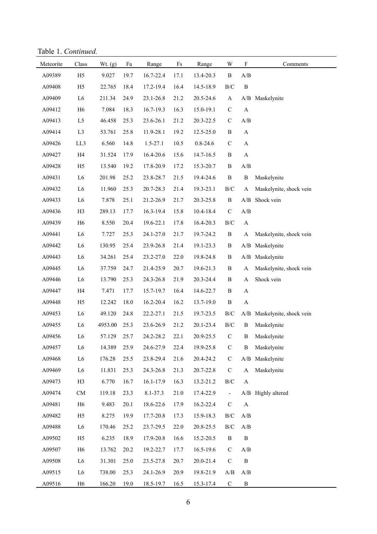Table 1. *Continued.*

| Meteorite | Class          | Wt. $(g)$ | Fa   | Range        | $\rm{Fs}$ | Range        | W                        | $\mathbf F$                                       | Comments                |
|-----------|----------------|-----------|------|--------------|-----------|--------------|--------------------------|---------------------------------------------------|-------------------------|
| A09389    | H <sub>5</sub> | 9.027     | 19.7 | 16.7-22.4    | 17.1      | 13.4-20.3    | $\, {\bf B}$             | A/B                                               |                         |
| A09408    | H <sub>5</sub> | 22.765    | 18.4 | 17.2-19.4    | 16.4      | 14.5-18.9    | $\rm{B/C}$               | $\, {\bf B}$                                      |                         |
| A09409    | ${\rm L6}$     | 211.34    | 24.9 | 23.1-26.8    | 21.2      | 20.5-24.6    | $\mathbf A$              | A/B                                               | Maskelynite             |
| A09412    | H <sub>6</sub> | 7.084     | 18.3 | 16.7-19.3    | 16.3      | 15.0-19.1    | $\mathbf C$              | $\boldsymbol{\rm{A}}$                             |                         |
| A09413    | L <sub>5</sub> | 46.458    | 25.3 | 23.6-26.1    | 21.2      | 20.3-22.5    | $\mathbf C$              | A/B                                               |                         |
| A09414    | L <sub>3</sub> | 53.761    | 25.8 | 11.9-28.1    | 19.2      | 12.5-25.0    | $\, {\bf B}$             | $\boldsymbol{\rm{A}}$                             |                         |
| A09426    | LL3            | 6.560     | 14.8 | $1.5 - 27.1$ | 10.5      | $0.8 - 24.6$ | $\mathbf C$              | $\boldsymbol{\rm{A}}$                             |                         |
| A09427    | H4             | 31.524    | 17.9 | 16.4-20.6    | 15.6      | 14.7-16.5    | $\, {\bf B}$             | $\boldsymbol{\rm{A}}$                             |                         |
| A09428    | H <sub>5</sub> | 13.540    | 19.2 | 17.8-20.9    | 17.2      | 15.3-20.7    | $\, {\bf B}$             | A/B                                               |                         |
| A09431    | L <sub>6</sub> | 201.98    | 25.2 | 23.8-28.7    | 21.5      | 19.4-24.6    | $\, {\bf B}$             | $\, {\bf B}$                                      | Maskelynite             |
| A09432    | L <sub>6</sub> | 11.960    | 25.3 | 20.7-28.3    | 21.4      | 19.3-23.1    | $\rm{B/C}$               | A                                                 | Maskelynite, shock vein |
| A09433    | L6             | 7.878     | 25.1 | 21.2-26.9    | 21.7      | 20.3-25.8    | $\, {\bf B}$             | A/B                                               | Shock vein              |
| A09436    | H <sub>3</sub> | 289.13    | 17.7 | 16.3-19.4    | 15.8      | 10.4-18.4    | $\mathbf C$              | A/B                                               |                         |
| A09439    | H <sub>6</sub> | 8.550     | 20.4 | 19.6-22.1    | 17.8      | 16.4-20.3    | $\rm{B/C}$               | $\boldsymbol{\rm{A}}$                             |                         |
| A09441    | L <sub>6</sub> | 7.727     | 25.3 | 24.1-27.0    | 21.7      | 19.7-24.2    | $\, {\bf B}$             | A                                                 | Maskelynite, shock vein |
| A09442    | L6             | 130.95    | 25.4 | 23.9-26.8    | 21.4      | 19.1-23.3    | $\, {\bf B}$             | A/B                                               | Maskelynite             |
| A09443    | L <sub>6</sub> | 34.261    | 25.4 | 23.2-27.0    | 22.0      | 19.8-24.8    | $\, {\bf B}$             | A/B                                               | Maskelynite             |
| A09445    | L6             | 37.759    | 24.7 | 21.4-25.9    | 20.7      | 19.6-21.3    | $\, {\bf B}$             | $\boldsymbol{\rm{A}}$                             | Maskelynite, shock vein |
| A09446    | L <sub>6</sub> | 13.790    | 25.3 | 24.3-26.8    | 21.9      | 20.3-24.4    | B                        | $\mathbf A$                                       | Shock vein              |
| A09447    | H4             | 7.471     | 17.7 | 15.7-19.7    | 16.4      | 14.6-22.7    | $\, {\bf B}$             | $\boldsymbol{\rm{A}}$                             |                         |
| A09448    | H <sub>5</sub> | 12.242    | 18.0 | 16.2-20.4    | 16.2      | 13.7-19.0    | $\, {\bf B}$             | $\boldsymbol{\rm{A}}$                             |                         |
| A09453    | L <sub>6</sub> | 49.120    | 24.8 | 22.2-27.1    | 21.5      | 19.7-23.5    | $\rm{B/C}$               | A/B                                               | Maskelynite, shock vein |
| A09455    | L <sub>6</sub> | 4953.00   | 25.3 | 23.6-26.9    | 21.2      | 20.1-23.4    | $\rm{B/C}$               | $\, {\bf B}$                                      | Maskelynite             |
| A09456    | L6             | 57.129    | 25.7 | 24.2-28.2    | 22.1      | 20.9-25.5    | $\mathbf C$              | $\, {\bf B}$                                      | Maskelynite             |
| A09457    | L <sub>6</sub> | 14.389    | 25.9 | 24.6-27.9    | 22.4      | 19.9-25.8    | $\mathcal{C}$            | $\boldsymbol{B}$                                  | Maskelynite             |
| A09468    | L6             | 176.28    | 25.5 | 23.8-29.4    | 21.6      | 20.4-24.2    | $\mathbf C$              | A/B                                               | Maskelynite             |
| A09469    | L6             | 11.831    | 25.3 | 24.3-26.8    | 21.3      | 20.7-22.8    | $\mathbf C$              | $\mathbf A$                                       | Maskelynite             |
| A09473    | H3             | 6.770     | 16.7 | 16.1-17.9    | 16.3      | 13.2-21.2    | $\rm{B/C}$               | $\mathbf A$                                       |                         |
| A09474    | ${\rm CM}$     | 119.18    | 23.3 | 8.1-37.3     | 21.0      | 17.4-22.9    | $\overline{\phantom{a}}$ |                                                   | A/B Highly altered      |
| A09481    | H <sub>6</sub> | 9.483     | 20.1 | 18.6-22.6    | 17.9      | 16.2-22.4    | $\mathbf C$              | $\boldsymbol{\rm{A}}$                             |                         |
| A09482    | H <sub>5</sub> | 8.275     | 19.9 | 17.7-20.8    | 17.3      | 15.9-18.3    | $\rm{B/C}$               | A/B                                               |                         |
| A09488    | L <sub>6</sub> | 170.46    | 25.2 | 23.7-29.5    | 22.0      | 20.8-25.5    | $\rm{B/C}$               | $\mathbf{A}/\mathbf{B}$                           |                         |
| A09502    | H <sub>5</sub> | 6.235     | 18.9 | 17.9-20.8    | 16.6      | 15.2-20.5    | $\, {\bf B}$             | $\, {\bf B}$                                      |                         |
| A09507    | H <sub>6</sub> | 13.762    | 20.2 | 19.2-22.7    | 17.7      | 16.5-19.6    | $\mathbf C$              | $\ensuremath{\mathrm{A}}/\ensuremath{\mathrm{B}}$ |                         |
| A09508    | L <sub>6</sub> | 31.301    | 25.0 | 23.5-27.8    | 20.7      | 20.0-21.4    | $\mathcal{C}$            | $\, {\bf B}$                                      |                         |
| A09515    | L <sub>6</sub> | 738.00    | 25.3 | 24.1-26.9    | 20.9      | 19.8-21.9    | A/B                      | A/B                                               |                         |
| A09516    | H <sub>6</sub> | 166.20    | 19.0 | 18.5-19.7    | 16.5      | 15.3-17.4    | ${\bf C}$                | $\, {\bf B}$                                      |                         |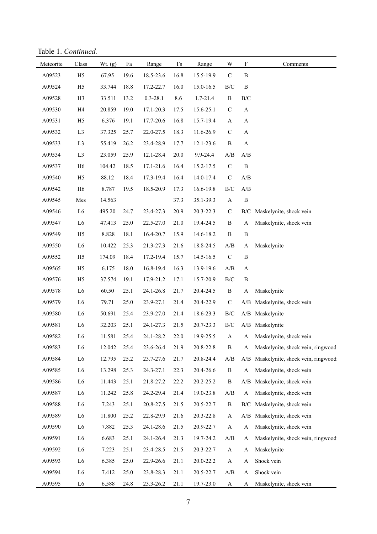Table 1. *Continued.*

| Meteorite | Class          | Wt. (g) | Fa   | Range         | Fs   | Range     | W            | $\boldsymbol{\mathrm{F}}$ | Comments                              |
|-----------|----------------|---------|------|---------------|------|-----------|--------------|---------------------------|---------------------------------------|
| A09523    | H <sub>5</sub> | 67.95   | 19.6 | 18.5-23.6     | 16.8 | 15.5-19.9 | $\mathsf C$  | $\bf{B}$                  |                                       |
| A09524    | H <sub>5</sub> | 33.744  | 18.8 | 17.2-22.7     | 16.0 | 15.0-16.5 | $\rm{B/C}$   | $\bf{B}$                  |                                       |
| A09528    | H <sub>3</sub> | 33.511  | 13.2 | $0.3 - 28.1$  | 8.6  | 1.7-21.4  | $\, {\bf B}$ | $\rm{B/C}$                |                                       |
| A09530    | H <sub>4</sub> | 20.859  | 19.0 | $17.1 - 20.3$ | 17.5 | 15.6-25.1 | $\mathbf C$  | A                         |                                       |
| A09531    | H <sub>5</sub> | 6.376   | 19.1 | 17.7-20.6     | 16.8 | 15.7-19.4 | $\mathbf A$  | A                         |                                       |
| A09532    | L <sub>3</sub> | 37.325  | 25.7 | 22.0-27.5     | 18.3 | 11.6-26.9 | $\mathbf C$  | A                         |                                       |
| A09533    | L <sub>3</sub> | 55.419  | 26.2 | 23.4-28.9     | 17.7 | 12.1-23.6 | $\, {\bf B}$ | $\boldsymbol{\rm{A}}$     |                                       |
| A09534    | L <sub>3</sub> | 23.059  | 25.9 | 12.1-28.4     | 20.0 | 9.9-24.4  | A/B          | A/B                       |                                       |
| A09537    | H <sub>6</sub> | 104.42  | 18.5 | $17.1 - 21.6$ | 16.4 | 15.2-17.5 | $\mathbf C$  | $\, {\bf B}$              |                                       |
| A09540    | H <sub>5</sub> | 88.12   | 18.4 | 17.3-19.4     | 16.4 | 14.0-17.4 | $\mathbf C$  | A/B                       |                                       |
| A09542    | H <sub>6</sub> | 8.787   | 19.5 | 18.5-20.9     | 17.3 | 16.6-19.8 | $\rm{B/C}$   | A/B                       |                                       |
| A09545    | Mes            | 14.563  |      |               | 37.3 | 35.1-39.3 | $\mathbf A$  | $\, {\bf B}$              |                                       |
| A09546    | L <sub>6</sub> | 495.20  | 24.7 | 23.4-27.3     | 20.9 | 20.3-22.3 | $\mathbf C$  | B/C                       | Maskelynite, shock vein               |
| A09547    | L <sub>6</sub> | 47.413  | 25.0 | 22.5-27.0     | 21.0 | 19.4-24.5 | $\, {\bf B}$ | A                         | Maskelynite, shock vein               |
| A09549    | H <sub>5</sub> | 8.828   | 18.1 | 16.4-20.7     | 15.9 | 14.6-18.2 | $\, {\bf B}$ | $\, {\bf B}$              |                                       |
| A09550    | L <sub>6</sub> | 10.422  | 25.3 | 21.3-27.3     | 21.6 | 18.8-24.5 | A/B          | A                         | Maskelynite                           |
| A09552    | H <sub>5</sub> | 174.09  | 18.4 | 17.2-19.4     | 15.7 | 14.5-16.5 | $\mathbf C$  | $\, {\bf B}$              |                                       |
| A09565    | H <sub>5</sub> | 6.175   | 18.0 | 16.8-19.4     | 16.3 | 13.9-19.6 | A/B          | A                         |                                       |
| A09576    | H <sub>5</sub> | 37.574  | 19.1 | 17.9-21.2     | 17.1 | 15.7-20.9 | $\rm{B/C}$   | $\, {\bf B}$              |                                       |
| A09578    | L <sub>6</sub> | 60.50   | 25.1 | 24.1-26.8     | 21.7 | 20.4-24.5 | $\, {\bf B}$ | A                         | Maskelynite                           |
| A09579    | L <sub>6</sub> | 79.71   | 25.0 | 23.9-27.1     | 21.4 | 20.4-22.9 | $\mathbf C$  |                           | A/B Maskelynite, shock vein           |
| A09580    | L <sub>6</sub> | 50.691  | 25.4 | 23.9-27.0     | 21.4 | 18.6-23.3 | $\rm{B/C}$   |                           | A/B Maskelynite                       |
| A09581    | L <sub>6</sub> | 32.203  | 25.1 | 24.1-27.3     | 21.5 | 20.7-23.3 | $\rm{B/C}$   |                           | A/B Maskelynite                       |
| A09582    | L <sub>6</sub> | 11.581  | 25.4 | 24.1-28.2     | 22.0 | 19.9-25.5 | $\mathbf{A}$ | A                         | Maskelynite, shock vein               |
| A09583    | L <sub>6</sub> | 12.042  | 25.4 | 23.6-26.4     | 21.9 | 20.8-22.8 | B            | A                         | Maskelynite, shock vein, ringwood     |
| A09584    | L6             | 12.795  | 25.2 | 23.7-27.6     | 21.7 | 20.8-24.4 | A/B          |                           | A/B Maskelynite, shock vein, ringwood |
| A09585    | L <sub>6</sub> | 13.298  | 25.3 | 24.3-27.1     | 22.3 | 20.4-26.6 | B            | A                         | Maskelynite, shock vein               |
| A09586    | L <sub>6</sub> | 11.443  | 25.1 | 21.8-27.2     | 22.2 | 20.2-25.2 | $\, {\bf B}$ | A/B                       | Maskelynite, shock vein               |
| A09587    | L <sub>6</sub> | 11.242  | 25.8 | 24.2-29.4     | 21.4 | 19.0-23.8 | A/B          | A                         | Maskelynite, shock vein               |
| A09588    | L <sub>6</sub> | 7.243   | 25.1 | 20.8-27.5     | 21.5 | 20.5-22.7 | $\, {\bf B}$ | B/C                       | Maskelynite, shock vein               |
| A09589    | L <sub>6</sub> | 11.800  | 25.2 | 22.8-29.9     | 21.6 | 20.3-22.8 | A            | A/B                       | Maskelynite, shock vein               |
| A09590    | L <sub>6</sub> | 7.882   | 25.3 | 24.1-28.6     | 21.5 | 20.9-22.7 | A            | A                         | Maskelynite, shock vein               |
| A09591    | L <sub>6</sub> | 6.683   | 25.1 | 24.1-26.4     | 21.3 | 19.7-24.2 | A/B          | A                         | Maskelynite, shock vein, ringwood     |
| A09592    | L <sub>6</sub> | 7.223   | 25.1 | 23.4-28.5     | 21.5 | 20.3-22.7 | $\mathbf A$  | A                         | Maskelynite                           |
| A09593    | L <sub>6</sub> | 6.385   | 25.0 | 22.9-26.6     | 21.1 | 20.0-22.2 | $\mathbf{A}$ | A                         | Shock vein                            |
| A09594    | L <sub>6</sub> | 7.412   | 25.0 | 23.8-28.3     | 21.1 | 20.5-22.7 | A/B          | A                         | Shock vein                            |
| A09595    | L <sub>6</sub> | 6.588   | 24.8 | 23.3-26.2     | 21.1 | 19.7-23.0 | $\mathbf{A}$ | A                         | Maskelynite, shock vein               |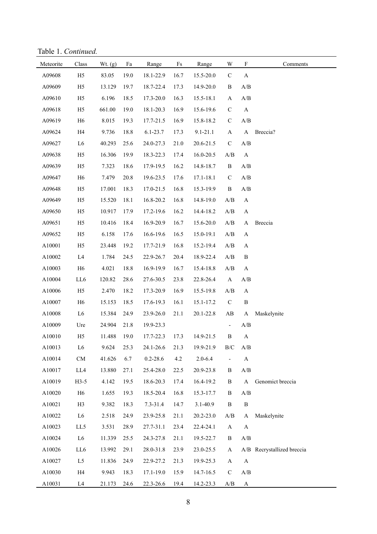Table 1. *Continued.*

| Meteorite | Class          | Wt. $(g)$ | Fa   | Range        | $\rm{Fs}$ | Range        | $\ensuremath{\text{W}}$  | $\mathbf F$                                       | Comments                   |
|-----------|----------------|-----------|------|--------------|-----------|--------------|--------------------------|---------------------------------------------------|----------------------------|
| A09608    | H <sub>5</sub> | 83.05     | 19.0 | 18.1-22.9    | 16.7      | 15.5-20.0    | ${\bf C}$                | A                                                 |                            |
| A09609    | H <sub>5</sub> | 13.129    | 19.7 | 18.7-22.4    | 17.3      | 14.9-20.0    | $\, {\bf B}$             | A/B                                               |                            |
| A09610    | H <sub>5</sub> | 6.196     | 18.5 | 17.3-20.0    | 16.3      | 15.5-18.1    | $\mathbf{A}$             | $\mathbf{A}/\mathbf{B}$                           |                            |
| A09618    | H <sub>5</sub> | 661.00    | 19.0 | 18.1-20.3    | 16.9      | 15.6-19.6    | $\mathbf C$              | $\boldsymbol{\mathsf{A}}$                         |                            |
| A09619    | H <sub>6</sub> | 8.015     | 19.3 | 17.7-21.5    | 16.9      | 15.8-18.2    | $\mathbf C$              | $\ensuremath{\mathrm{A}}/\ensuremath{\mathrm{B}}$ |                            |
| A09624    | H4             | 9.736     | 18.8 | $6.1 - 23.7$ | 17.3      | $9.1 - 21.1$ | $\mathbf{A}$             | $\mathbf A$                                       | Breccia?                   |
| A09627    | L <sub>6</sub> | 40.293    | 25.6 | 24.0-27.3    | 21.0      | 20.6-21.5    | ${\bf C}$                | $\ensuremath{\mathrm{A}}/\ensuremath{\mathrm{B}}$ |                            |
| A09638    | H <sub>5</sub> | 16.306    | 19.9 | 18.3-22.3    | 17.4      | 16.0-20.5    | A/B                      | $\boldsymbol{\mathsf{A}}$                         |                            |
| A09639    | H <sub>5</sub> | 7.323     | 18.6 | 17.9-19.5    | 16.2      | 14.8-18.7    | $\, {\bf B}$             | $\mathbf{A}/\mathbf{B}$                           |                            |
| A09647    | H <sub>6</sub> | 7.479     | 20.8 | 19.6-23.5    | 17.6      | 17.1-18.1    | $\mathbf C$              | $\mathbf{A}/\mathbf{B}$                           |                            |
| A09648    | H <sub>5</sub> | 17.001    | 18.3 | 17.0-21.5    | 16.8      | 15.3-19.9    | $\, {\bf B}$             | $\mathbf{A}/\mathbf{B}$                           |                            |
| A09649    | H <sub>5</sub> | 15.520    | 18.1 | 16.8-20.2    | 16.8      | 14.8-19.0    | $\mathbf{A}/\mathbf{B}$  | $\mathbf{A}$                                      |                            |
| A09650    | H <sub>5</sub> | 10.917    | 17.9 | 17.2-19.6    | 16.2      | 14.4-18.2    | A/B                      | $\mathbf A$                                       |                            |
| A09651    | H <sub>5</sub> | 10.416    | 18.4 | 16.9-20.9    | 16.7      | 15.6-20.0    | A/B                      | $\mathbf A$                                       | Breccia                    |
| A09652    | H <sub>5</sub> | 6.158     | 17.6 | 16.6-19.6    | 16.5      | 15.0-19.1    | $\mathbf{A}/\mathbf{B}$  | $\mathbf{A}$                                      |                            |
| A10001    | H <sub>5</sub> | 23.448    | 19.2 | 17.7-21.9    | 16.8      | 15.2-19.4    | $\mathbf{A}/\mathbf{B}$  | $\mathbf{A}$                                      |                            |
| A10002    | L4             | 1.784     | 24.5 | 22.9-26.7    | 20.4      | 18.9-22.4    | A/B                      | $\, {\bf B}$                                      |                            |
| A10003    | H <sub>6</sub> | 4.021     | 18.8 | 16.9-19.9    | 16.7      | 15.4-18.8    | $\mathbf{A}/\mathbf{B}$  | A                                                 |                            |
| A10004    | LL6            | 120.82    | 28.6 | 27.6-30.5    | 23.8      | 22.8-26.4    | $\mathbf{A}$             | $\mathbf{A}/\mathbf{B}$                           |                            |
| A10006    | H <sub>5</sub> | 2.470     | 18.2 | 17.3-20.9    | 16.9      | 15.5-19.8    | A/B                      | A                                                 |                            |
| A10007    | H <sub>6</sub> | 15.153    | 18.5 | 17.6-19.3    | 16.1      | 15.1-17.2    | $\mathbf C$              | $\, {\bf B}$                                      |                            |
| A10008    | L <sub>6</sub> | 15.384    | 24.9 | 23.9-26.0    | 21.1      | 20.1-22.8    | AB                       | A                                                 | Maskelynite                |
| A10009    | Ure            | 24.904    | 21.8 | 19.9-23.3    |           |              | $\overline{\phantom{a}}$ | $\mathbf{A}/\mathbf{B}$                           |                            |
| A10010    | H <sub>5</sub> | 11.488    | 19.0 | 17.7-22.3    | 17.3      | 14.9-21.5    | $\, {\bf B}$             | $\mathbf{A}$                                      |                            |
| A10013    | L <sub>6</sub> | 9.624     | 25.3 | 24.1-26.6    | 21.3      | 19.9-21.9    | $\rm{B/C}$               | A/B                                               |                            |
| A10014    | ${\rm CM}$     | 41.626    | 6.7  | $0.2 - 28.6$ | 4.2       | $2.0 - 6.4$  | $\overline{\phantom{0}}$ | $\mathbf{A}$                                      |                            |
| A10017    | LL4            | 13.880    | 27.1 | 25.4-28.0    | 22.5      | 20.9-23.8    | B                        | A/B                                               |                            |
| A10019    | $H3-5$         | 4.142     | 19.5 | 18.6-20.3    | 17.4      | 16.4-19.2    | $\, {\bf B}$             | $\boldsymbol{\rm{A}}$                             | Genomict breccia           |
| A10020    | H <sub>6</sub> | 1.655     | 19.3 | 18.5-20.4    | 16.8      | 15.3-17.7    | B                        | A/B                                               |                            |
| A10021    | H <sub>3</sub> | 9.382     | 18.3 | 7.3-31.4     | 14.7      | 3.1-40.9     | $\, {\bf B}$             | $\, {\bf B}$                                      |                            |
| A10022    | L <sub>6</sub> | 2.518     | 24.9 | 23.9-25.8    | 21.1      | 20.2-23.0    | $\mathbf{A}/\mathbf{B}$  | A                                                 | Maskelynite                |
| A10023    | LL5            | 3.531     | 28.9 | 27.7-31.1    | 23.4      | 22.4-24.1    | $\mathbf{A}$             | $\mathbf{A}$                                      |                            |
| A10024    | L <sub>6</sub> | 11.339    | 25.5 | 24.3-27.8    | 21.1      | 19.5-22.7    | $\, {\bf B}$             | A/B                                               |                            |
| A10026    | LL6            | 13.992    | 29.1 | 28.0-31.8    | 23.9      | 23.0-25.5    | A                        |                                                   | A/B Recrystallized breccia |
| A10027    | L5             | 11.836    | 24.9 | 22.9-27.2    | 21.3      | 19.9-25.3    | $\mathbf{A}$             | $\mathbf{A}$                                      |                            |
| A10030    | H4             | 9.943     | 18.3 | 17.1-19.0    | 15.9      | 14.7-16.5    | $\mathbf C$              | $\mathbf{A}/\mathbf{B}$                           |                            |
| A10031    | L <sub>4</sub> | 21.173    | 24.6 | 22.3-26.6    | 19.4      | 14.2-23.3    | $\mathbf{A}/\mathbf{B}$  | $\mathbf{A}$                                      |                            |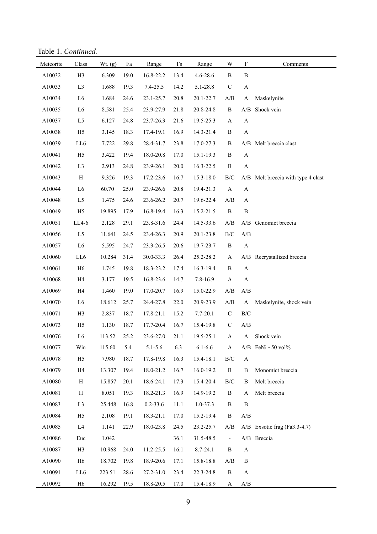Table 1. *Continued.*

| Meteorite | Class          | Wt. (g) | Fa   | Range        | $\rm{Fs}$ | Range        | W                     | $\boldsymbol{\mathrm{F}}$ | Comments                           |
|-----------|----------------|---------|------|--------------|-----------|--------------|-----------------------|---------------------------|------------------------------------|
| A10032    | H3             | 6.309   | 19.0 | 16.8-22.2    | 13.4      | 4.6-28.6     | $\, {\bf B}$          | $\bf{B}$                  |                                    |
| A10033    | L <sub>3</sub> | 1.688   | 19.3 | $7.4 - 25.5$ | 14.2      | 5.1-28.8     | $\mathbf C$           | $\mathbf A$               |                                    |
| A10034    | L <sub>6</sub> | 1.684   | 24.6 | 23.1-25.7    | 20.8      | 20.1-22.7    | A/B                   | A                         | Maskelynite                        |
| A10035    | L <sub>6</sub> | 8.581   | 25.4 | 23.9-27.9    | 21.8      | 20.8-24.8    | $\, {\bf B}$          | $\mathbf{A}/\mathbf{B}$   | Shock vein                         |
| A10037    | L5             | 6.127   | 24.8 | 23.7-26.3    | 21.6      | 19.5-25.3    | $\mathbf{A}$          | $\boldsymbol{\rm{A}}$     |                                    |
| A10038    | H <sub>5</sub> | 3.145   | 18.3 | 17.4-19.1    | 16.9      | 14.3-21.4    | $\, {\bf B}$          | $\boldsymbol{\rm{A}}$     |                                    |
| A10039    | LL6            | 7.722   | 29.8 | 28.4-31.7    | 23.8      | 17.0-27.3    | $\, {\bf B}$          | A/B                       | Melt breccia clast                 |
| A10041    | H <sub>5</sub> | 3.422   | 19.4 | 18.0-20.8    | 17.0      | 15.1-19.3    | $\, {\bf B}$          | $\boldsymbol{\rm{A}}$     |                                    |
| A10042    | L <sub>3</sub> | 2.913   | 24.8 | 23.9-26.1    | 20.0      | 16.3-22.5    | $\, {\bf B}$          | $\boldsymbol{\rm{A}}$     |                                    |
| A10043    | $\, {\rm H}$   | 9.326   | 19.3 | 17.2-23.6    | 16.7      | 15.3-18.0    | $\rm B/C$             |                           | A/B Melt breccia with type 4 clast |
| A10044    | L <sub>6</sub> | 60.70   | 25.0 | 23.9-26.6    | 20.8      | 19.4-21.3    | $\boldsymbol{\rm{A}}$ | $\boldsymbol{\rm{A}}$     |                                    |
| A10048    | L5             | 1.475   | 24.6 | 23.6-26.2    | 20.7      | 19.6-22.4    | A/B                   | A                         |                                    |
| A10049    | H <sub>5</sub> | 19.895  | 17.9 | 16.8-19.4    | 16.3      | 15.2-21.5    | $\, {\bf B}$          | $\, {\bf B}$              |                                    |
| A10051    | LL4-6          | 2.128   | 29.1 | 23.8-31.6    | 24.4      | 14.5-33.6    | A/B                   |                           | A/B Genomict breccia               |
| A10056    | $\mathbf{L5}$  | 11.641  | 24.5 | 23.4-26.3    | 20.9      | 20.1-23.8    | $\rm B/C$             | A/B                       |                                    |
| A10057    | L <sub>6</sub> | 5.595   | 24.7 | 23.3-26.5    | 20.6      | 19.7-23.7    | $\, {\bf B}$          | $\mathbf A$               |                                    |
| A10060    | LL6            | 10.284  | 31.4 | 30.0-33.3    | 26.4      | 25.2-28.2    | A                     |                           | A/B Recrystallized breccia         |
| A10061    | H <sub>6</sub> | 1.745   | 19.8 | 18.3-23.2    | 17.4      | 16.3-19.4    | $\, {\bf B}$          | $\boldsymbol{\rm{A}}$     |                                    |
| A10068    | H4             | 3.177   | 19.5 | 16.8-23.6    | 14.7      | 7.8-16.9     | $\boldsymbol{\rm{A}}$ | $\boldsymbol{\rm{A}}$     |                                    |
| A10069    | H4             | 1.460   | 19.0 | 17.0-20.7    | 16.9      | 15.0-22.9    | A/B                   | A/B                       |                                    |
| A10070    | L <sub>6</sub> | 18.612  | 25.7 | 24.4-27.8    | 22.0      | 20.9-23.9    | A/B                   | A                         | Maskelynite, shock vein            |
| A10071    | H <sub>3</sub> | 2.837   | 18.7 | 17.8-21.1    | 15.2      | 7.7-20.1     | $\mathbf C$           | $\rm{B/C}$                |                                    |
| A10073    | H <sub>5</sub> | 1.130   | 18.7 | 17.7-20.4    | 16.7      | 15.4-19.8    | $\mathbf C$           | A/B                       |                                    |
| A10076    | L <sub>6</sub> | 113.52  | 25.2 | 23.6-27.0    | 21.1      | 19.5-25.1    | $\mathbf A$           | $\mathbf{A}$              | Shock vein                         |
| A10077    | Win            | 115.60  | 5.4  | $5.1 - 5.6$  | 6.3       | $6.1 - 6.6$  | A                     |                           | $A/B$ FeNi $\sim$ 50 vol%          |
| A10078    | H <sub>5</sub> | 7.980   | 18.7 | 17.8-19.8    | 16.3      | 15.4-18.1    | $\rm B/C$             | $\boldsymbol{\rm{A}}$     |                                    |
| A10079    | H <sub>4</sub> | 13.307  | 19.4 | 18.0-21.2    | 16.7      | 16.0-19.2    | $\, {\bf B}$          | B                         | Monomict breccia                   |
| A10080    | $H_{\rm}$      | 15.857  | 20.1 | 18.6-24.1    | 17.3      | 15.4-20.4    | $\rm B/C$             | B                         | Melt breccia                       |
| A10081    | Η              | 8.051   | 19.3 | 18.2-21.3    | 16.9      | 14.9-19.2    | B                     | A                         | Melt breccia                       |
| A10083    | L <sub>3</sub> | 25.448  | 16.8 | $0.2 - 33.6$ | 11.1      | $1.0 - 37.3$ | $\, {\bf B}$          | $\, {\bf B}$              |                                    |
| A10084    | H <sub>5</sub> | 2.108   | 19.1 | 18.3-21.1    | 17.0      | 15.2-19.4    | $\, {\bf B}$          | A/B                       |                                    |
| A10085    | L4             | 1.141   | 22.9 | 18.0-23.8    | 24.5      | 23.2-25.7    | A/B                   |                           | A/B Exsotic frag (Fa3.3-4.7)       |
| A10086    | Euc            | 1.042   |      |              | 36.1      | 31.5-48.5    | $\blacksquare$        |                           | A/B Breccia                        |
| A10087    | H <sub>3</sub> | 10.968  | 24.0 | 11.2-25.5    | 16.1      | 8.7-24.1     | $\, {\bf B}$          | $\boldsymbol{\rm{A}}$     |                                    |
| A10090    | H <sub>6</sub> | 18.702  | 19.8 | 18.9-20.6    | 17.1      | 15.8-18.8    | A/B                   | B                         |                                    |
| A10091    | $LL6\,$        | 223.51  | 28.6 | 27.2-31.0    | 23.4      | 22.3-24.8    | $\, {\bf B}$          | $\mathbf{A}$              |                                    |
| A10092    | H <sub>6</sub> | 16.292  | 19.5 | 18.8-20.5    | 17.0      | 15.4-18.9    | A                     | $\mathbf{A}/\mathbf{B}$   |                                    |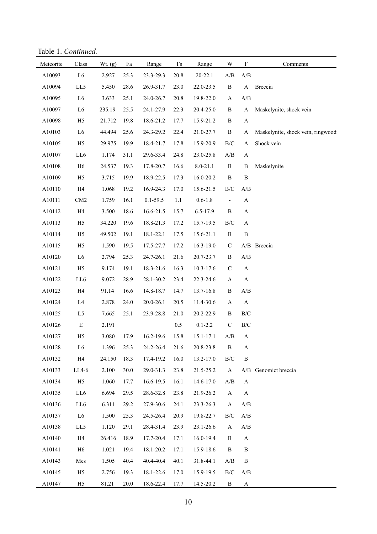Table 1. *Continued.*

| Meteorite | Class          | Wt. (g) | $\rm{Fa}$ | Range         | Fs   | Range       | W                                                               | $\boldsymbol{\mathrm{F}}$                         | Comments                          |
|-----------|----------------|---------|-----------|---------------|------|-------------|-----------------------------------------------------------------|---------------------------------------------------|-----------------------------------|
| A10093    | ${\rm L6}$     | 2.927   | 25.3      | 23.3-29.3     | 20.8 | $20 - 22.1$ | $\ensuremath{\mathbf{A}}\xspace/\ensuremath{\mathbf{B}}\xspace$ | $\ensuremath{\mathrm{A}}/\ensuremath{\mathrm{B}}$ |                                   |
| A10094    | LL5            | 5.450   | 28.6      | 26.9-31.7     | 23.0 | 22.0-23.5   | $\, {\bf B}$                                                    | $\bf{A}$                                          | Breccia                           |
| A10095    | L6             | 3.633   | 25.1      | 24.0-26.7     | 20.8 | 19.8-22.0   | $\boldsymbol{\rm{A}}$                                           | A/B                                               |                                   |
| A10097    | L <sub>6</sub> | 235.19  | 25.5      | 24.1-27.9     | 22.3 | 20.4-25.0   | $\, {\bf B}$                                                    | $\mathbf{A}$                                      | Maskelynite, shock vein           |
| A10098    | H <sub>5</sub> | 21.712  | 19.8      | 18.6-21.2     | 17.7 | 15.9-21.2   | B                                                               | $\mathbf A$                                       |                                   |
| A10103    | L <sub>6</sub> | 44.494  | 25.6      | 24.3-29.2     | 22.4 | 21.0-27.7   | $\, {\bf B}$                                                    | A                                                 | Maskelynite, shock vein, ringwood |
| A10105    | H <sub>5</sub> | 29.975  | 19.9      | 18.4-21.7     | 17.8 | 15.9-20.9   | $\rm{B/C}$                                                      | $\mathbf{A}$                                      | Shock vein                        |
| A10107    | LL6            | 1.174   | 31.1      | 29.6-33.4     | 24.8 | 23.0-25.8   | A/B                                                             | $\mathbf A$                                       |                                   |
| A10108    | H <sub>6</sub> | 24.537  | 19.3      | 17.8-20.7     | 16.6 | 8.0-21.1    | $\, {\bf B}$                                                    | $\bf{B}$                                          | Maskelynite                       |
| A10109    | H <sub>5</sub> | 3.715   | 19.9      | 18.9-22.5     | 17.3 | 16.0-20.2   | $\, {\bf B}$                                                    | $\, {\bf B}$                                      |                                   |
| A10110    | H4             | 1.068   | 19.2      | 16.9-24.3     | 17.0 | 15.6-21.5   | $\rm{B/C}$                                                      | A/B                                               |                                   |
| A10111    | CM2            | 1.759   | 16.1      | $0.1 - 59.5$  | 1.1  | $0.6 - 1.8$ | $\blacksquare$                                                  | $\mathbf A$                                       |                                   |
| A10112    | H4             | 3.500   | 18.6      | 16.6-21.5     | 15.7 | 6.5-17.9    | $\, {\bf B}$                                                    | A                                                 |                                   |
| A10113    | H <sub>5</sub> | 34.220  | 19.6      | 18.8-21.3     | 17.2 | 15.7-19.5   | $\rm B/C$                                                       | A                                                 |                                   |
| A10114    | H <sub>5</sub> | 49.502  | 19.1      | 18.1-22.1     | 17.5 | 15.6-21.1   | $\, {\bf B}$                                                    | $\, {\bf B}$                                      |                                   |
| A10115    | H <sub>5</sub> | 1.590   | 19.5      | 17.5-27.7     | 17.2 | 16.3-19.0   | $\mathbf C$                                                     |                                                   | A/B Breccia                       |
| A10120    | L <sub>6</sub> | 2.794   | 25.3      | 24.7-26.1     | 21.6 | 20.7-23.7   | $\, {\bf B}$                                                    | A/B                                               |                                   |
| A10121    | H <sub>5</sub> | 9.174   | 19.1      | 18.3-21.6     | 16.3 | 10.3-17.6   | $\mathbf C$                                                     | $\mathbf A$                                       |                                   |
| A10122    | LL6            | 9.072   | 28.9      | 28.1-30.2     | 23.4 | 22.3-24.6   | A                                                               | $\mathbf{A}$                                      |                                   |
| A10123    | H4             | 91.14   | 16.6      | 14.8-18.7     | 14.7 | 13.7-16.8   | $\, {\bf B}$                                                    | A/B                                               |                                   |
| A10124    | L4             | 2.878   | 24.0      | 20.0-26.1     | 20.5 | 11.4-30.6   | A                                                               | $\mathbf A$                                       |                                   |
| A10125    | L5             | 7.665   | 25.1      | 23.9-28.8     | 21.0 | 20.2-22.9   | B                                                               | $\rm B/C$                                         |                                   |
| A10126    | ${\bf E}$      | 2.191   |           |               | 0.5  | $0.1 - 2.2$ | $\mathbf C$                                                     | $\rm{B/C}$                                        |                                   |
| A10127    | H <sub>5</sub> | 3.080   | 17.9      | $16.2 - 19.6$ | 15.8 | 15.1-17.1   | $\ensuremath{\mathbf{A}}\xspace/\ensuremath{\mathbf{B}}\xspace$ | $\mathbf{A}$                                      |                                   |
| A10128    | L6             | 1.396   | 25.3      | 24.2-26.4     | 21.6 | 20.8-23.8   | $\, {\bf B}$                                                    | $\mathbf A$                                       |                                   |
| A10132    | H4             | 24.150  | 18.3      | 17.4-19.2     | 16.0 | 13.2-17.0   | $\rm B/C$                                                       | $\, {\bf B}$                                      |                                   |
| A10133    | LL4-6          | 2.100   | 30.0      | 29.0-31.3     | 23.8 | 21.5-25.2   | $\bf{A}$                                                        |                                                   | A/B Genomict breccia              |
| A10134    | H <sub>5</sub> | 1.060   | 17.7      | 16.6-19.5     | 16.1 | 14.6-17.0   | $\mathbf{A}/\mathbf{B}$                                         | $\mathbf{A}$                                      |                                   |
| A10135    | LL6            | 6.694   | 29.5      | 28.6-32.8     | 23.8 | 21.9-26.2   | $\mathbf{A}$                                                    | $\mathbf{A}$                                      |                                   |
| A10136    | LL6            | 6.311   | 29.2      | 27.9-30.6     | 24.1 | 23.3-26.3   | $\mathbf{A}$                                                    | $\mathbf{A}/\mathbf{B}$                           |                                   |
| A10137    | L <sub>6</sub> | 1.500   | 25.3      | 24.5-26.4     | 20.9 | 19.8-22.7   | $\rm{B/C}$                                                      | A/B                                               |                                   |
| A10138    | LL5            | 1.120   | 29.1      | 28.4-31.4     | 23.9 | 23.1-26.6   | $\mathbf{A}$                                                    | A/B                                               |                                   |
| A10140    | H4             | 26.416  | 18.9      | 17.7-20.4     | 17.1 | 16.0-19.4   | B                                                               | $\mathbf{A}$                                      |                                   |
| A10141    | H <sub>6</sub> | 1.021   | 19.4      | 18.1-20.2     | 17.1 | 15.9-18.6   | B                                                               | $\, {\bf B}$                                      |                                   |
| A10143    | Mes            | 1.505   | 40.4      | 40.4-40.4     | 40.1 | 31.8-44.1   | A/B                                                             | B                                                 |                                   |
| A10145    | H <sub>5</sub> | 2.756   | 19.3      | 18.1-22.6     | 17.0 | 15.9-19.5   | $\rm{B/C}$                                                      | $\ensuremath{\mathrm{A}}/\ensuremath{\mathrm{B}}$ |                                   |
| A10147    | H <sub>5</sub> | 81.21   | 20.0      | 18.6-22.4     | 17.7 | 14.5-20.2   | B                                                               | $\mathbf{A}$                                      |                                   |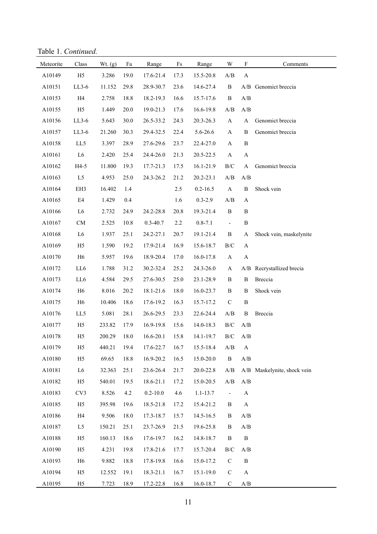Table 1. *Continued.*

| Meteorite | Class           | Wt. $(g)$ | Fa   | Range        | $\mathop{\text{Fs}}$ | Range        | W                        | $\boldsymbol{\mathrm{F}}$                         | Comments                    |
|-----------|-----------------|-----------|------|--------------|----------------------|--------------|--------------------------|---------------------------------------------------|-----------------------------|
| A10149    | H <sub>5</sub>  | 3.286     | 19.0 | 17.6-21.4    | 17.3                 | 15.5-20.8    | A/B                      | $\boldsymbol{\rm{A}}$                             |                             |
| A10151    | $LL3-6$         | 11.152    | 29.8 | 28.9-30.7    | 23.6                 | 14.6-27.4    | $\, {\bf B}$             |                                                   | A/B Genomict breccia        |
| A10153    | H4              | 2.758     | 18.8 | 18.2-19.3    | 16.6                 | 15.7-17.6    | $\, {\bf B}$             | $\ensuremath{\mathrm{A}}/\ensuremath{\mathrm{B}}$ |                             |
| A10155    | H <sub>5</sub>  | 1.449     | 20.0 | 19.0-21.3    | 17.6                 | 16.6-19.8    | A/B                      | A/B                                               |                             |
| A10156    | $LL3-6$         | 5.643     | 30.0 | 26.5-33.2    | 24.3                 | 20.3-26.3    | $\mathbf{A}$             | A                                                 | Genomict breccia            |
| A10157    | $LL3-6$         | 21.260    | 30.3 | 29.4-32.5    | 22.4                 | 5.6-26.6     | $\mathbf{A}$             | $\, {\bf B}$                                      | Genomict breccia            |
| A10158    | LL5             | 3.397     | 28.9 | 27.6-29.6    | 23.7                 | 22.4-27.0    | $\mathbf{A}$             | $\, {\bf B}$                                      |                             |
| A10161    | L6              | 2.420     | 25.4 | 24.4-26.0    | 21.3                 | 20.5-22.5    | $\mathbf{A}$             | $\boldsymbol{\rm{A}}$                             |                             |
| A10162    | $H4-5$          | 11.800    | 19.3 | 17.7-21.3    | 17.5                 | 16.1-21.9    | $\rm B/C$                | $\mathbf{A}$                                      | Genomict breccia            |
| A10163    | $\rm L5$        | 4.953     | 25.0 | 24.3-26.2    | 21.2                 | 20.2-23.1    | A/B                      | A/B                                               |                             |
| A10164    | EH3             | 16.402    | 1.4  |              | 2.5                  | $0.2 - 16.5$ | $\boldsymbol{\rm{A}}$    | $\, {\bf B}$                                      | Shock vein                  |
| A10165    | $\mathrm{E}4$   | 1.429     | 0.4  |              | 1.6                  | $0.3 - 2.9$  | A/B                      | $\mathbf{A}$                                      |                             |
| A10166    | L <sub>6</sub>  | 2.732     | 24.9 | 24.2-28.8    | 20.8                 | 19.3-21.4    | $\, {\bf B}$             | $\, {\bf B}$                                      |                             |
| A10167    | ${\rm CM}$      | 2.525     | 10.8 | $0.3 - 40.7$ | 2.2                  | $0.8 - 7.1$  | $\blacksquare$           | $\, {\bf B}$                                      |                             |
| A10168    | L <sub>6</sub>  | 1.937     | 25.1 | 24.2-27.1    | 20.7                 | 19.1-21.4    | $\, {\bf B}$             | $\mathbf{A}$                                      | Shock vein, maskelynite     |
| A10169    | H <sub>5</sub>  | 1.590     | 19.2 | 17.9-21.4    | 16.9                 | 15.6-18.7    | $\rm B/C$                | $\mathbf{A}$                                      |                             |
| A10170    | H <sub>6</sub>  | 5.957     | 19.6 | 18.9-20.4    | 17.0                 | 16.0-17.8    | $\mathbf{A}$             | $\mathbf A$                                       |                             |
| A10172    | LL6             | 1.788     | 31.2 | 30.2-32.4    | 25.2                 | 24.3-26.0    | $\mathbf{A}$             |                                                   | A/B Recrystallized brecia   |
| A10173    | LL6             | 4.584     | 29.5 | 27.6-30.5    | 25.0                 | 23.1-28.9    | $\, {\bf B}$             | $\, {\bf B}$                                      | Breccia                     |
| A10174    | H <sub>6</sub>  | 8.016     | 20.2 | 18.1-21.6    | 18.0                 | 16.0-23.7    | $\, {\bf B}$             | $\, {\bf B}$                                      | Shock vein                  |
| A10175    | H <sub>6</sub>  | 10.406    | 18.6 | 17.6-19.2    | 16.3                 | 15.7-17.2    | ${\bf C}$                | $\, {\bf B}$                                      |                             |
| A10176    | LL5             | 5.081     | 28.1 | 26.6-29.5    | 23.3                 | 22.6-24.4    | A/B                      | $\, {\bf B}$                                      | Breccia                     |
| A10177    | H <sub>5</sub>  | 233.82    | 17.9 | 16.9-19.8    | 15.6                 | 14.0-18.3    | B/C                      | A/B                                               |                             |
| A10178    | H <sub>5</sub>  | 200.29    | 18.0 | 16.6-20.1    | 15.8                 | 14.1-19.7    | $\rm B/C$                | A/B                                               |                             |
| A10179    | H <sub>5</sub>  | 440.21    | 19.4 | 17.6-22.7    | 16.7                 | 15.5-18.4    | A/B                      | A                                                 |                             |
| A10180    | H <sub>5</sub>  | 69.65     | 18.8 | 16.9-20.2    | 16.5                 | 15.0-20.0    | $\, {\bf B}$             | $\mathbf{A}/\mathbf{B}$                           |                             |
| A10181    | L <sub>6</sub>  | 32.363    | 25.1 | 23.6-26.4    | 21.7                 | 20.0-22.8    | A/B                      |                                                   | A/B Maskelynite, shock vein |
| A10182    | H <sub>5</sub>  | 540.01    | 19.5 | 18.6-21.1    | 17.2                 | 15.0-20.5    | A/B                      | A/B                                               |                             |
| A10183    | CV <sub>3</sub> | 8.526     | 4.2  | $0.2 - 10.0$ | 4.6                  | $1.1 - 13.7$ | $\overline{\phantom{a}}$ | $\mathbf{A}$                                      |                             |
| A10185    | H <sub>5</sub>  | 395.98    | 19.6 | 18.5-21.8    | 17.2                 | 15.4-21.2    | B                        | A                                                 |                             |
| A10186    | H4              | 9.506     | 18.0 | 17.3-18.7    | 15.7                 | 14.5-16.5    | B                        | A/B                                               |                             |
| A10187    | L5              | 150.21    | 25.1 | 23.7-26.9    | 21.5                 | 19.6-25.8    | B                        | $\mathbf{A}/\mathbf{B}$                           |                             |
| A10188    | H <sub>5</sub>  | 160.13    | 18.6 | 17.6-19.7    | 16.2                 | 14.8-18.7    | B                        | $\, {\bf B}$                                      |                             |
| A10190    | H <sub>5</sub>  | 4.231     | 19.8 | 17.8-21.6    | 17.7                 | 15.7-20.4    | $\rm B/C$                | A/B                                               |                             |
| A10193    | H <sub>6</sub>  | 9.882     | 18.8 | 17.8-19.8    | 16.6                 | 15.0-17.2    | $\mathbf C$              | $\, {\bf B}$                                      |                             |
| A10194    | H <sub>5</sub>  | 12.552    | 19.1 | 18.3-21.1    | 16.7                 | 15.1-19.0    | $\mathbf C$              | $\boldsymbol{\mathsf{A}}$                         |                             |
| A10195    | H <sub>5</sub>  | 7.723     | 18.9 | 17.2-22.8    | 16.8                 | 16.0-18.7    | $\mathbf C$              | A/B                                               |                             |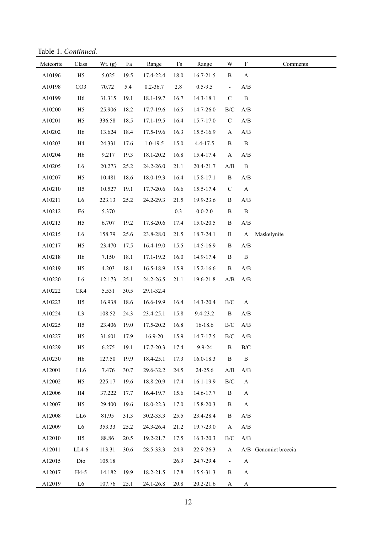Table 1. *Continued.*

| Meteorite | Class           | Wt. $(g)$ | Fa   | Range        | $\mathop{\text{Fs}}$ | Range         | W                                                 | $\boldsymbol{\mathrm{F}}$ | Comments             |
|-----------|-----------------|-----------|------|--------------|----------------------|---------------|---------------------------------------------------|---------------------------|----------------------|
| A10196    | H <sub>5</sub>  | 5.025     | 19.5 | 17.4-22.4    | 18.0                 | 16.7-21.5     | $\, {\bf B}$                                      | A                         |                      |
| A10198    | CO <sub>3</sub> | 70.72     | 5.4  | $0.2 - 36.7$ | 2.8                  | $0.5 - 9.5$   | $\blacksquare$                                    | A/B                       |                      |
| A10199    | H <sub>6</sub>  | 31.315    | 19.1 | 18.1-19.7    | 16.7                 | 14.3-18.1     | $\mathbf C$                                       | $\, {\bf B}$              |                      |
| A10200    | H <sub>5</sub>  | 25.906    | 18.2 | 17.7-19.6    | 16.5                 | 14.7-26.0     | $\rm{B/C}$                                        | A/B                       |                      |
| A10201    | H <sub>5</sub>  | 336.58    | 18.5 | 17.1-19.5    | 16.4                 | 15.7-17.0     | $\mathbf C$                                       | A/B                       |                      |
| A10202    | H <sub>6</sub>  | 13.624    | 18.4 | 17.5-19.6    | 16.3                 | 15.5-16.9     | $\mathbf{A}$                                      | A/B                       |                      |
| A10203    | H4              | 24.331    | 17.6 | $1.0 - 19.5$ | 15.0                 | 4.4-17.5      | $\, {\bf B}$                                      | $\, {\bf B}$              |                      |
| A10204    | H <sub>6</sub>  | 9.217     | 19.3 | 18.1-20.2    | 16.8                 | 15.4-17.4     | $\mathbf A$                                       | A/B                       |                      |
| A10205    | L <sub>6</sub>  | 20.273    | 25.2 | 24.2-26.0    | 21.1                 | 20.4-21.7     | $\mathbf{A}/\mathbf{B}$                           | $\, {\bf B}$              |                      |
| A10207    | H <sub>5</sub>  | 10.481    | 18.6 | 18.0-19.3    | 16.4                 | 15.8-17.1     | $\, {\bf B}$                                      | A/B                       |                      |
| A10210    | H <sub>5</sub>  | 10.527    | 19.1 | 17.7-20.6    | 16.6                 | 15.5-17.4     | $\mathbf C$                                       | $\mathbf{A}$              |                      |
| A10211    | L <sub>6</sub>  | 223.13    | 25.2 | 24.2-29.3    | 21.5                 | 19.9-23.6     | B                                                 | A/B                       |                      |
| A10212    | E <sub>6</sub>  | 5.370     |      |              | 0.3                  | $0.0 - 2.0$   | $\, {\bf B}$                                      | $\, {\bf B}$              |                      |
| A10213    | H <sub>5</sub>  | 6.707     | 19.2 | 17.8-20.6    | 17.4                 | 15.0-20.5     | B                                                 | A/B                       |                      |
| A10215    | L <sub>6</sub>  | 158.79    | 25.6 | 23.8-28.0    | 21.5                 | 18.7-24.1     | $\, {\bf B}$                                      | $\mathbf{A}$              | Maskelynite          |
| A10217    | H <sub>5</sub>  | 23.470    | 17.5 | 16.4-19.0    | 15.5                 | 14.5-16.9     | B                                                 | A/B                       |                      |
| A10218    | H <sub>6</sub>  | 7.150     | 18.1 | 17.1-19.2    | 16.0                 | 14.9-17.4     | $\, {\bf B}$                                      | $\, {\bf B}$              |                      |
| A10219    | H <sub>5</sub>  | 4.203     | 18.1 | 16.5-18.9    | 15.9                 | 15.2-16.6     | $\, {\bf B}$                                      | A/B                       |                      |
| A10220    | L <sub>6</sub>  | 12.173    | 25.1 | 24.2-26.5    | 21.1                 | 19.6-21.8     | $\ensuremath{\mathrm{A}}/\ensuremath{\mathrm{B}}$ | A/B                       |                      |
| A10222    | CK4             | 5.531     | 30.5 | 29.1-32.4    |                      |               |                                                   |                           |                      |
| A10223    | H <sub>5</sub>  | 16.938    | 18.6 | 16.6-19.9    | 16.4                 | 14.3-20.4     | $\rm B/C$                                         | $\mathbf{A}$              |                      |
| A10224    | L <sub>3</sub>  | 108.52    | 24.3 | 23.4-25.1    | 15.8                 | 9.4-23.2      | $\, {\bf B}$                                      | A/B                       |                      |
| A10225    | H <sub>5</sub>  | 23.406    | 19.0 | 17.5-20.2    | 16.8                 | 16-18.6       | $\rm B/C$                                         | A/B                       |                      |
| A10227    | H <sub>5</sub>  | 31.601    | 17.9 | 16.9-20      | 15.9                 | 14.7-17.5     | $\rm B/C$                                         | A/B                       |                      |
| A10229    | H <sub>5</sub>  | 6.275     | 19.1 | 17.7-20.3    | 17.4                 | 9.9-24        | B                                                 | $\rm{B/C}$                |                      |
| A10230    | H <sub>6</sub>  | 127.50    | 19.9 | 18.4-25.1    | 17.3                 | 16.0-18.3     | $\, {\bf B}$                                      | $\, {\bf B}$              |                      |
| A12001    | LL6             | 7.476     | 30.7 | 29.6-32.2    | 24.5                 | 24-25.6       | A/B                                               | A/B                       |                      |
| A12002    | H <sub>5</sub>  | 225.17    | 19.6 | 18.8-20.9    | 17.4                 | 16.1-19.9     | $\rm B/C$                                         | $\mathbf{A}$              |                      |
| A12006    | H4              | 37.222    | 17.7 | 16.4-19.7    | 15.6                 | 14.6-17.7     | $\, {\bf B}$                                      | $\mathbf{A}$              |                      |
| A12007    | H <sub>5</sub>  | 29.400    | 19.6 | 18.0-22.3    | 17.0                 | 15.8-20.3     | B                                                 | $\boldsymbol{\rm{A}}$     |                      |
| A12008    | LL6             | 81.95     | 31.3 | 30.2-33.3    | 25.5                 | 23.4-28.4     | B                                                 | A/B                       |                      |
| A12009    | L <sub>6</sub>  | 353.33    | 25.2 | 24.3-26.4    | 21.2                 | 19.7-23.0     | $\mathbf{A}$                                      | $\mathbf{A}/\mathbf{B}$   |                      |
| A12010    | H <sub>5</sub>  | 88.86     | 20.5 | 19.2-21.7    | 17.5                 | 16.3-20.3     | B/C                                               | A/B                       |                      |
| A12011    | LL4-6           | 113.31    | 30.6 | 28.5-33.3    | 24.9                 | 22.9-26.3     | $\mathbf{A}$                                      |                           | A/B Genomict breccia |
| A12015    | Dio             | 105.18    |      |              | 26.9                 | 24.7-29.4     | $\overline{\phantom{a}}$                          | $\mathbf{A}$              |                      |
| A12017    | $H4-5$          | 14.182    | 19.9 | 18.2-21.5    | 17.8                 | 15.5-31.3     | $\, {\bf B}$                                      | $\mathbf{A}$              |                      |
| A12019    | L <sub>6</sub>  | 107.76    | 25.1 | 24.1-26.8    | 20.8                 | $20.2 - 21.6$ | A                                                 | A                         |                      |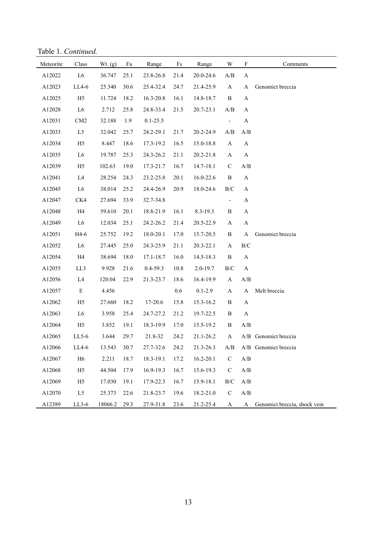Table 1. *Continued.*

| Meteorite | Class          | Wt. (g) | Fa   | Range        | Fs   | Range        | W                                                 | $\boldsymbol{\mathrm{F}}$ | Comments                     |
|-----------|----------------|---------|------|--------------|------|--------------|---------------------------------------------------|---------------------------|------------------------------|
| A12022    | L6             | 36.747  | 25.1 | 23.8-26.8    | 21.4 | 20.0-24.6    | $\ensuremath{\mathrm{A}}/\ensuremath{\mathrm{B}}$ | A                         |                              |
| A12023    | LL4-6          | 25.340  | 30.6 | 25.4-32.4    | 24.7 | 21.4-25.9    | $\mathbf{A}$                                      | A                         | Genomict breccia             |
| A12025    | H <sub>5</sub> | 11.724  | 18.2 | 16.3-20.8    | 16.1 | 14.8-18.7    | $\, {\bf B}$                                      | A                         |                              |
| A12028    | L <sub>6</sub> | 2.712   | 25.8 | 24.8-33.4    | 21.5 | 20.7-23.1    | A/B                                               | A                         |                              |
| A12031    | CM2            | 32.188  | 1.9  | $0.1 - 25.5$ |      |              | $\qquad \qquad -$                                 | $\mathbf{A}$              |                              |
| A12033    | L5             | 32.042  | 25.7 | 24.2-29.1    | 21.7 | 20.2-24.9    | A/B                                               | A/B                       |                              |
| A12034    | H <sub>5</sub> | 8.447   | 18.6 | 17.3-19.2    | 16.5 | 15.0-18.8    | A                                                 | $\mathbf{A}$              |                              |
| A12035    | L <sub>6</sub> | 19.787  | 25.3 | 24.3-26.2    | 21.1 | 20.2-21.8    | A                                                 | $\mathbf{A}$              |                              |
| A12039    | H <sub>5</sub> | 102.63  | 19.0 | 17.3-21.7    | 16.7 | 14.7-18.1    | ${\bf C}$                                         | A/B                       |                              |
| A12041    | L4             | 28.254  | 24.3 | 23.2-25.8    | 20.1 | 16.0-22.6    | $\, {\bf B}$                                      | $\mathbf{A}$              |                              |
| A12045    | L <sub>6</sub> | 38.014  | 25.2 | 24.4-26.9    | 20.9 | 18.0-24.6    | $\rm B/C$                                         | $\mathbf{A}$              |                              |
| A12047    | CK4            | 27.694  | 33.9 | 32.7-34.8    |      |              | $\overline{\phantom{0}}$                          | A                         |                              |
| A12048    | H4             | 59.610  | 20.1 | 18.8-21.9    | 16.1 | $8.3 - 19.3$ | B                                                 | $\mathbf{A}$              |                              |
| A12049    | L <sub>6</sub> | 12.034  | 25.1 | 24.2-26.2    | 21.4 | 20.5-22.9    | A                                                 | $\mathbf{A}$              |                              |
| A12051    | H4-6           | 25.752  | 19.2 | 18.0-20.1    | 17.0 | 15.7-20.5    | $\, {\bf B}$                                      | $\mathbf A$               | Genomict breccia             |
| A12052    | L <sub>6</sub> | 27.445  | 25.0 | 24.3-25.9    | 21.1 | 20.3-22.1    | A                                                 | $\rm{B/C}$                |                              |
| A12054    | H4             | 38.694  | 18.0 | 17.1-18.7    | 16.0 | 14.5-18.3    | $\, {\bf B}$                                      | $\mathbf{A}$              |                              |
| A12055    | LL3            | 9.928   | 21.6 | $0.4 - 59.3$ | 10.8 | 2.0-19.7     | $\rm B/C$                                         | $\mathbf{A}$              |                              |
| A12056    | L4             | 120.04  | 22.9 | 21.3-23.7    | 18.6 | 16.4-19.9    | $\mathbf{A}$                                      | A/B                       |                              |
| A12057    | ${\bf E}$      | 4.456   |      |              | 0.6  | $0.1 - 2.9$  | $\mathbf{A}$                                      | $\mathbf{A}$              | Melt breccia                 |
| A12062    | H <sub>5</sub> | 27.660  | 18.2 | 17-20.6      | 15.8 | 15.3-16.2    | $\, {\bf B}$                                      | $\mathbf{A}$              |                              |
| A12063    | L <sub>6</sub> | 3.958   | 25.4 | 24.7-27.2    | 21.2 | 19.7-22.5    | $\, {\bf B}$                                      | $\mathbf{A}$              |                              |
| A12064    | H <sub>5</sub> | 3.852   | 19.1 | 18.3-19.9    | 17.0 | 15.5-19.2    | B                                                 | A/B                       |                              |
| A12065    | $LL$ 5-6       | 3.644   | 29.7 | 21.8-32      | 24.2 | 21.1-26.2    | A                                                 |                           | A/B Genomict breccia         |
| A12066    | $LL4-6$        | 13.543  | 30.7 | 27.7-32.6    | 24.2 | 21.3-26.3    | A/B                                               |                           | A/B Genomict breccia         |
| A12067    | ${\rm H6}$     | 2.211   | 18.7 | 18.3-19.1    | 17.2 | 16.2-20.1    | $\mathbf C$                                       | A/B                       |                              |
| A12068    | H <sub>5</sub> | 44.504  | 17.9 | 16.9-19.3    | 16.7 | 15.6-19.3    | $\mathsf C$                                       | A/B                       |                              |
| A12069    | H <sub>5</sub> | 17.030  | 19.1 | 17.9-22.3    | 16.7 | 15.9-18.1    | $\rm B/C$                                         | A/B                       |                              |
| A12070    | L5             | 25.373  | 22.6 | 21.8-23.7    | 19.6 | 18.2-21.0    | $\mathsf C$                                       | A/B                       |                              |
| A12389    | $LL3-6$        | 18066.2 | 29.3 | 27.9-31.8    | 23.6 | 21.2-25.4    | A                                                 | $\mathbf{A}$              | Genomict breccia, shock vein |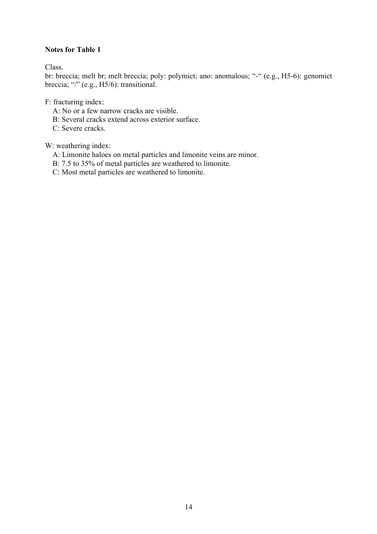#### **Notes for Table 1**

Class.

br: breccia; melt br; melt breccia; poly: polymict; ano: anomalous; "-" (e.g., H5-6): genomict breccia; "/" (e.g., H5/6): transitional.

F: fracturing index:

- A: No or a few narrow cracks are visible.
- B: Several cracks extend across exterior surface.
- C: Severe cracks.

W: weathering index:

- A: Limonite haloes on metal particles and limonite veins are minor.
- B: 7.5 to 35% of metal particles are weathered to limonite.
- C: Most metal particles are weathered to limonite.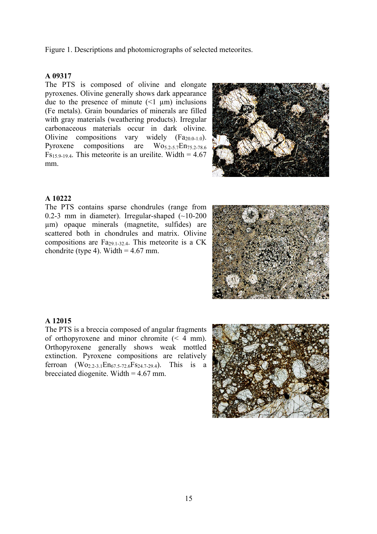Figure 1. Descriptions and photomicrographs of selected meteorites.

#### **A 09317**

The PTS is composed of olivine and elongate pyroxenes. Olivine generally shows dark appearance due to the presence of minute  $(\leq 1 \text{ }\mu\text{m})$  inclusions (Fe metals). Grain boundaries of minerals are filled with gray materials (weathering products). Irregular carbonaceous materials occur in dark olivine. Olivine compositions vary widely  $(Fa_{20.0-1.0})$ . Pyroxene compositions are  $Wo_{5.2-5.7}En_{75.2-78.6}$  $Fs_{15.9-19.4}$ . This meteorite is an ureilite. Width = 4.67 mm.



#### **A 10222**

The PTS contains sparse chondrules (range from 0.2-3 mm in diameter). Irregular-shaped  $(-10-200)$ µm) opaque minerals (magnetite, sulfides) are scattered both in chondrules and matrix. Olivine compositions are  $Fa_{29,1-32,4}$ . This meteorite is a CK chondrite (type 4). Width  $= 4.67$  mm.



#### **A 12015**

The PTS is a breccia composed of angular fragments of orthopyroxene and minor chromite (< 4 mm). Orthopyroxene generally shows weak mottled extinction. Pyroxene compositions are relatively ferroan  $(Wo_{2,2-3,1}En_{67,5-72,6}Fs_{24,7-29,4})$ . This is a brecciated diogenite. Width  $= 4.67$  mm.